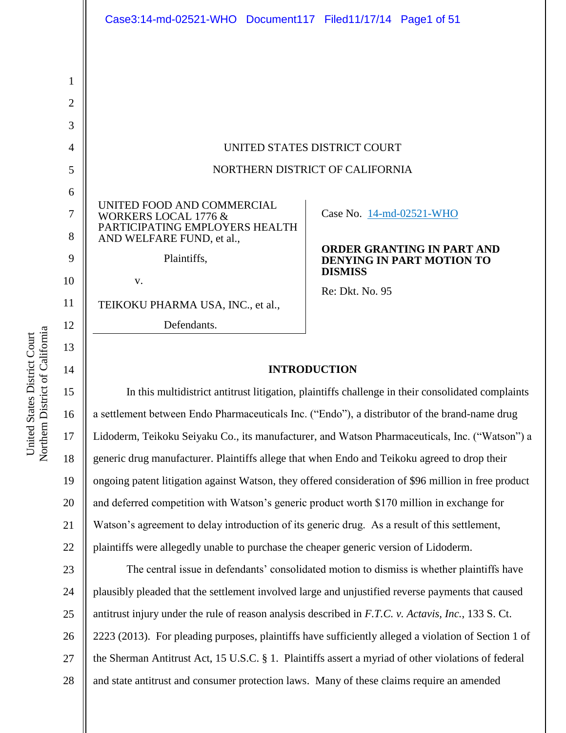|                                    | Case3:14-md-02521-WHO Document117 Filed11/17/14 Page1 of 51                                                                                                                                           |                                                                                                                                 |
|------------------------------------|-------------------------------------------------------------------------------------------------------------------------------------------------------------------------------------------------------|---------------------------------------------------------------------------------------------------------------------------------|
| 1<br>$\overline{2}$<br>3<br>4      |                                                                                                                                                                                                       | UNITED STATES DISTRICT COURT                                                                                                    |
| 5                                  | NORTHERN DISTRICT OF CALIFORNIA                                                                                                                                                                       |                                                                                                                                 |
| 6<br>7<br>8<br>9<br>10<br>11<br>12 | UNITED FOOD AND COMMERCIAL<br><b>WORKERS LOCAL 1776 &amp;</b><br>PARTICIPATING EMPLOYERS HEALTH<br>AND WELFARE FUND, et al.,<br>Plaintiffs,<br>V.<br>TEIKOKU PHARMA USA, INC., et al.,<br>Defendants. | Case No. 14-md-02521-WHO<br><b>ORDER GRANTING IN PART AND</b><br>DENYING IN PART MOTION TO<br><b>DISMISS</b><br>Re: Dkt. No. 95 |
| 13<br>14                           | <b>INTRODUCTION</b>                                                                                                                                                                                   |                                                                                                                                 |
| 15                                 | In this multidistrict antitrust litigation, plaintiffs challenge in their consolidated complaints                                                                                                     |                                                                                                                                 |
| 16                                 | a settlement between Endo Pharmaceuticals Inc. ("Endo"), a distributor of the brand-name drug                                                                                                         |                                                                                                                                 |

16 17 18 19 20 21 22 Lidoderm, Teikoku Seiyaku Co., its manufacturer, and Watson Pharmaceuticals, Inc. ("Watson") a generic drug manufacturer. Plaintiffs allege that when Endo and Teikoku agreed to drop their ongoing patent litigation against Watson, they offered consideration of \$96 million in free product and deferred competition with Watson's generic product worth \$170 million in exchange for Watson's agreement to delay introduction of its generic drug. As a result of this settlement, plaintiffs were allegedly unable to purchase the cheaper generic version of Lidoderm.

23 24 25 26 27 28 The central issue in defendants' consolidated motion to dismiss is whether plaintiffs have plausibly pleaded that the settlement involved large and unjustified reverse payments that caused antitrust injury under the rule of reason analysis described in *F.T.C. v. Actavis, Inc.*, 133 S. Ct. 2223 (2013). For pleading purposes, plaintiffs have sufficiently alleged a violation of Section 1 of the Sherman Antitrust Act, 15 U.S.C. § 1. Plaintiffs assert a myriad of other violations of federal and state antitrust and consumer protection laws. Many of these claims require an amended

Northern District of California Northern District of California United States District Court United States District Court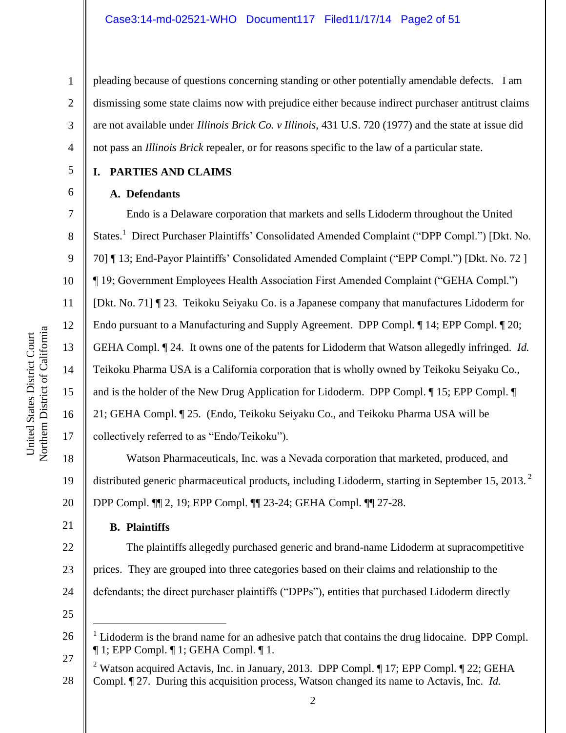#### Case3:14-md-02521-WHO Document117 Filed11/17/14 Page2 of 51

pleading because of questions concerning standing or other potentially amendable defects. I am dismissing some state claims now with prejudice either because indirect purchaser antitrust claims are not available under *Illinois Brick Co. v Illinois*, 431 U.S. 720 (1977) and the state at issue did not pass an *Illinois Brick* repealer, or for reasons specific to the law of a particular state.

#### **I. PARTIES AND CLAIMS**

#### **A. Defendants**

1

2

3

4

5

6

7

8

9

10

11

12

13

14

15

16

17

21

Endo is a Delaware corporation that markets and sells Lidoderm throughout the United States.<sup>1</sup> Direct Purchaser Plaintiffs' Consolidated Amended Complaint ("DPP Compl.") [Dkt. No. 70] ¶ 13; End-Payor Plaintiffs' Consolidated Amended Complaint ("EPP Compl.") [Dkt. No. 72 ] ¶ 19; Government Employees Health Association First Amended Complaint ("GEHA Compl.") [Dkt. No. 71] ¶ 23. Teikoku Seiyaku Co. is a Japanese company that manufactures Lidoderm for Endo pursuant to a Manufacturing and Supply Agreement. DPP Compl. ¶ 14; EPP Compl. ¶ 20; GEHA Compl. ¶ 24. It owns one of the patents for Lidoderm that Watson allegedly infringed. *Id.* Teikoku Pharma USA is a California corporation that is wholly owned by Teikoku Seiyaku Co., and is the holder of the New Drug Application for Lidoderm. DPP Compl. ¶ 15; EPP Compl. ¶ 21; GEHA Compl. ¶ 25. (Endo, Teikoku Seiyaku Co., and Teikoku Pharma USA will be collectively referred to as "Endo/Teikoku").

18 19 20 Watson Pharmaceuticals, Inc. was a Nevada corporation that marketed, produced, and distributed generic pharmaceutical products, including Lidoderm, starting in September 15, 2013.<sup>2</sup> DPP Compl. ¶¶ 2, 19; EPP Compl. ¶¶ 23-24; GEHA Compl. ¶¶ 27-28.

#### **B. Plaintiffs**

22 23 24 The plaintiffs allegedly purchased generic and brand-name Lidoderm at supracompetitive prices. They are grouped into three categories based on their claims and relationship to the defendants; the direct purchaser plaintiffs ("DPPs"), entities that purchased Lidoderm directly

25

 $\overline{a}$ 

<sup>1</sup> Lidoderm is the brand name for an adhesive patch that contains the drug lidocaine. DPP Compl. ¶ 1; EPP Compl. ¶ 1; GEHA Compl. ¶ 1.

<sup>27</sup> 28 <sup>2</sup> Watson acquired Actavis, Inc. in January, 2013. DPP Compl.  $\P$  17; EPP Compl.  $\P$  22; GEHA Compl. ¶ 27. During this acquisition process, Watson changed its name to Actavis, Inc. *Id.*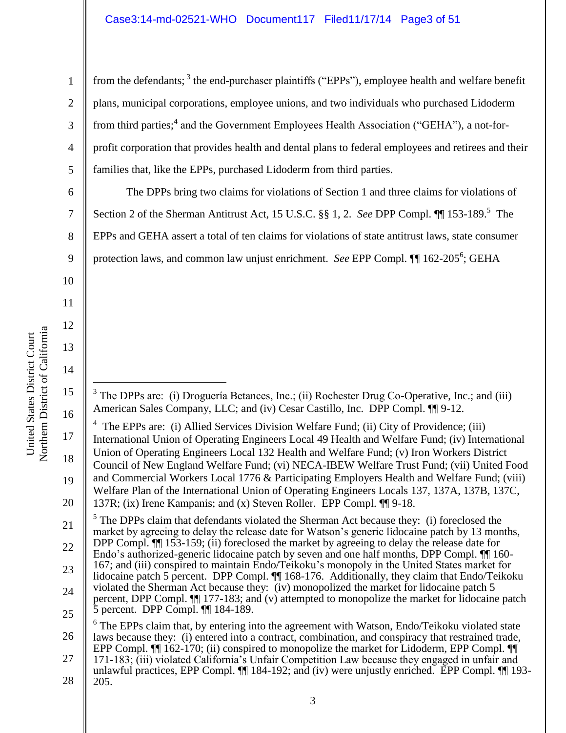Northern District of California Northern District of California United States District Court

6

7

8

9

10

11

12

13

14

15

United States District Court

 $\overline{a}$ 

16

1 2 3 4 5 from the defendants;<sup>3</sup> the end-purchaser plaintiffs ("EPPs"), employee health and welfare benefit plans, municipal corporations, employee unions, and two individuals who purchased Lidoderm from third parties;<sup>4</sup> and the Government Employees Health Association ("GEHA"), a not-forprofit corporation that provides health and dental plans to federal employees and retirees and their families that, like the EPPs, purchased Lidoderm from third parties.

The DPPs bring two claims for violations of Section 1 and three claims for violations of Section 2 of the Sherman Antitrust Act, 15 U.S.C. §§ 1, 2. *See DPP Compl.*  $\P$  153-189.<sup>5</sup> The EPPs and GEHA assert a total of ten claims for violations of state antitrust laws, state consumer protection laws, and common law unjust enrichment. *See* EPP Compl. 1<sup>162-205<sup>6</sup>; GEHA</sup>

 $3$  The DPPs are: (i) Droguería Betances, Inc.; (ii) Rochester Drug Co-Operative, Inc.; and (iii) American Sales Company, LLC; and (iv) Cesar Castillo, Inc. DPP Compl. ¶¶ 9-12.

<sup>17</sup> 18 19 20 <sup>4</sup> The EPPs are: (i) Allied Services Division Welfare Fund; (ii) City of Providence; (iii) International Union of Operating Engineers Local 49 Health and Welfare Fund; (iv) International Union of Operating Engineers Local 132 Health and Welfare Fund; (v) Iron Workers District Council of New England Welfare Fund; (vi) NECA-IBEW Welfare Trust Fund; (vii) United Food and Commercial Workers Local 1776 & Participating Employers Health and Welfare Fund; (viii) Welfare Plan of the International Union of Operating Engineers Locals 137, 137A, 137B, 137C,

<sup>137</sup>R; (ix) Irene Kampanis; and (x) Steven Roller. EPP Compl. ¶¶ 9-18.

<sup>21</sup> 22 23 24 25  $<sup>5</sup>$  The DPPs claim that defendants violated the Sherman Act because they: (i) foreclosed the</sup> market by agreeing to delay the release date for Watson's generic lidocaine patch by 13 months, DPP Compl.  $\P$  153-159; (ii) foreclosed the market by agreeing to delay the release date for Endo's authorized-generic lidocaine patch by seven and one half months, DPP Compl. ¶¶ 160- 167; and (iii) conspired to maintain Endo/Teikoku's monopoly in the United States market for lidocaine patch 5 percent. DPP Compl. <sup>[9]</sup> 168-176. Additionally, they claim that Endo/Teikoku violated the Sherman Act because they: (iv) monopolized the market for lidocaine patch 5 percent, DPP Compl. ¶¶ 177-183; and (v) attempted to monopolize the market for lidocaine patch 5 percent. DPP Compl. ¶¶ 184-189.

<sup>26</sup> 27 6 The EPPs claim that, by entering into the agreement with Watson, Endo/Teikoku violated state laws because they: (i) entered into a contract, combination, and conspiracy that restrained trade, EPP Compl.  $\P$ [[ 162-170; (ii) conspired to monopolize the market for Lidoderm, EPP Compl.  $\P$ [ 171-183; (iii) violated California's Unfair Competition Law because they engaged in unfair and

<sup>28</sup> unlawful practices, EPP Compl. ¶¶ 184-192; and (iv) were unjustly enriched. EPP Compl. ¶¶ 193- 205.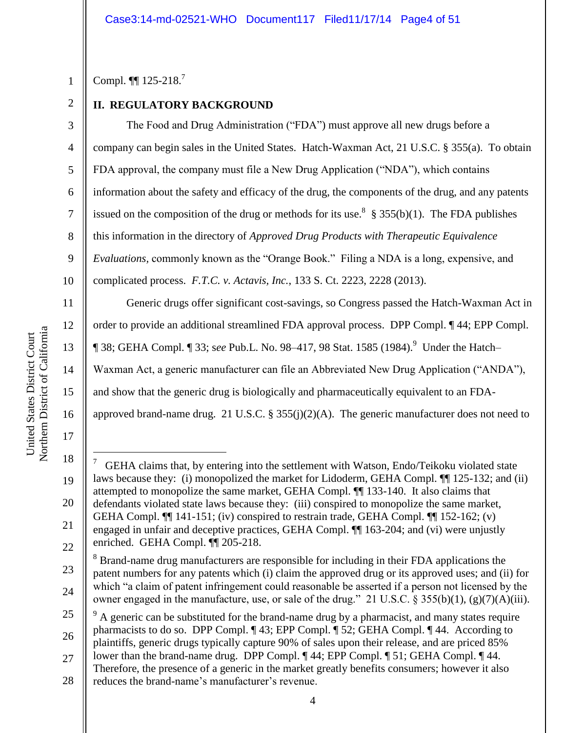3

4

5

6

7

8

9

10

11

12

13

14

15

16

17

 $\overline{a}$ 

Compl.  $\P$  125-218.<sup>7</sup>

# **II. REGULATORY BACKGROUND**

The Food and Drug Administration ("FDA") must approve all new drugs before a company can begin sales in the United States. Hatch-Waxman Act, 21 U.S.C. § 355(a). To obtain FDA approval, the company must file a New Drug Application ("NDA"), which contains information about the safety and efficacy of the drug, the components of the drug, and any patents issued on the composition of the drug or methods for its use.<sup>8</sup> § 355(b)(1). The FDA publishes this information in the directory of *Approved Drug Products with Therapeutic Equivalence Evaluations,* commonly known as the "Orange Book." Filing a NDA is a long, expensive, and complicated process. *F.T.C. v. Actavis, Inc.*, 133 S. Ct. 2223, 2228 (2013).

Generic drugs offer significant cost-savings, so Congress passed the Hatch-Waxman Act in order to provide an additional streamlined FDA approval process. DPP Compl. ¶ 44; EPP Compl. **[38; GEHA Compl. [33; see Pub.L. No. 98–417, 98 Stat. 1585 (1984).** Under the Hatch– Waxman Act, a generic manufacturer can file an Abbreviated New Drug Application ("ANDA"), and show that the generic drug is biologically and pharmaceutically equivalent to an FDAapproved brand-name drug. 21 U.S.C. § 355(j)(2)(A). The generic manufacturer does not need to

<sup>18</sup> 19 20 21 22 7 GEHA claims that, by entering into the settlement with Watson, Endo/Teikoku violated state laws because they: (i) monopolized the market for Lidoderm, GEHA Compl. ¶¶ 125-132; and (ii) attempted to monopolize the same market, GEHA Compl. ¶¶ 133-140. It also claims that defendants violated state laws because they: (iii) conspired to monopolize the same market, GEHA Compl. ¶¶ 141-151; (iv) conspired to restrain trade, GEHA Compl. ¶¶ 152-162; (v) engaged in unfair and deceptive practices, GEHA Compl. ¶¶ 163-204; and (vi) were unjustly enriched. GEHA Compl. ¶¶ 205-218.

<sup>23</sup> 24 <sup>8</sup> Brand-name drug manufacturers are responsible for including in their FDA applications the patent numbers for any patents which (i) claim the approved drug or its approved uses; and (ii) for which "a claim of patent infringement could reasonable be asserted if a person not licensed by the owner engaged in the manufacture, use, or sale of the drug." 21 U.S.C. § 355(b)(1), (g)(7)(A)(iii).

<sup>25</sup> 26 27 <sup>9</sup> A generic can be substituted for the brand-name drug by a pharmacist, and many states require pharmacists to do so. DPP Compl. ¶ 43; EPP Compl. ¶ 52; GEHA Compl. ¶ 44. According to plaintiffs, generic drugs typically capture 90% of sales upon their release, and are priced 85% lower than the brand-name drug. DPP Compl. ¶ 44; EPP Compl. ¶ 51; GEHA Compl. ¶ 44.

<sup>28</sup> Therefore, the presence of a generic in the market greatly benefits consumers; however it also reduces the brand-name's manufacturer's revenue.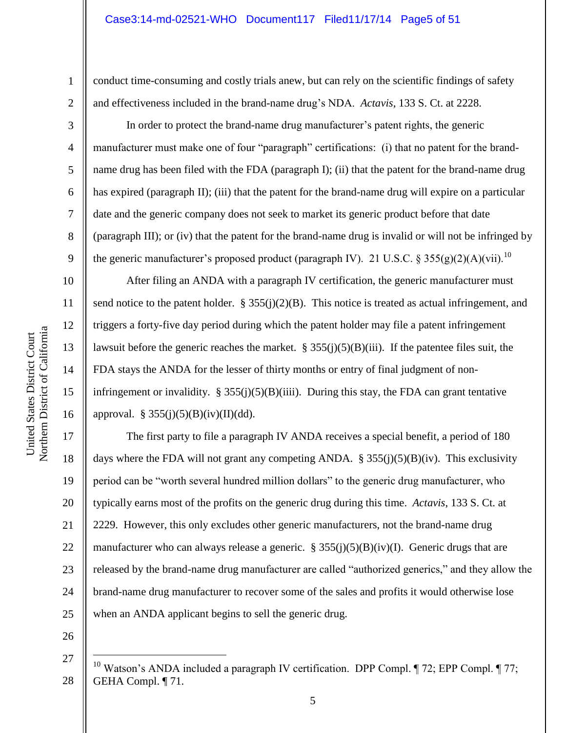conduct time-consuming and costly trials anew, but can rely on the scientific findings of safety and effectiveness included in the brand-name drug's NDA. *Actavis*, 133 S. Ct. at 2228.

In order to protect the brand-name drug manufacturer's patent rights, the generic manufacturer must make one of four "paragraph" certifications: (i) that no patent for the brandname drug has been filed with the FDA (paragraph I); (ii) that the patent for the brand-name drug has expired (paragraph II); (iii) that the patent for the brand-name drug will expire on a particular date and the generic company does not seek to market its generic product before that date (paragraph III); or (iv) that the patent for the brand-name drug is invalid or will not be infringed by the generic manufacturer's proposed product (paragraph IV). 21 U.S.C. § 355(g)(2)(A)(vii).<sup>10</sup>

After filing an ANDA with a paragraph IV certification, the generic manufacturer must send notice to the patent holder.  $\S 355(j)(2)(B)$ . This notice is treated as actual infringement, and triggers a forty-five day period during which the patent holder may file a patent infringement lawsuit before the generic reaches the market.  $\S 355(j)(5)(B)(iii)$ . If the patentee files suit, the FDA stays the ANDA for the lesser of thirty months or entry of final judgment of noninfringement or invalidity.  $\S 355(j)(5)(B)(iii)$ . During this stay, the FDA can grant tentative approval.  $\S 355(j)(5)(B)(iv)(II)(dd)$ .

17 18 19 20 21 22 23 24 25 The first party to file a paragraph IV ANDA receives a special benefit, a period of 180 days where the FDA will not grant any competing ANDA.  $\S$  355(j)(5)(B)(iv). This exclusivity period can be "worth several hundred million dollars" to the generic drug manufacturer, who typically earns most of the profits on the generic drug during this time. *Actavis*, 133 S. Ct. at 2229. However, this only excludes other generic manufacturers, not the brand-name drug manufacturer who can always release a generic.  $\S 355(j)(5)(B)(iv)(I)$ . Generic drugs that are released by the brand-name drug manufacturer are called "authorized generics," and they allow the brand-name drug manufacturer to recover some of the sales and profits it would otherwise lose when an ANDA applicant begins to sell the generic drug.

26

 $\overline{a}$ 

1

2

3

4

5

6

7

8

9

10

11

12

13

14

15

<sup>27</sup> 28 <sup>10</sup> Watson's ANDA included a paragraph IV certification. DPP Compl.  $\P$  72; EPP Compl.  $\P$  77; GEHA Compl. ¶ 71.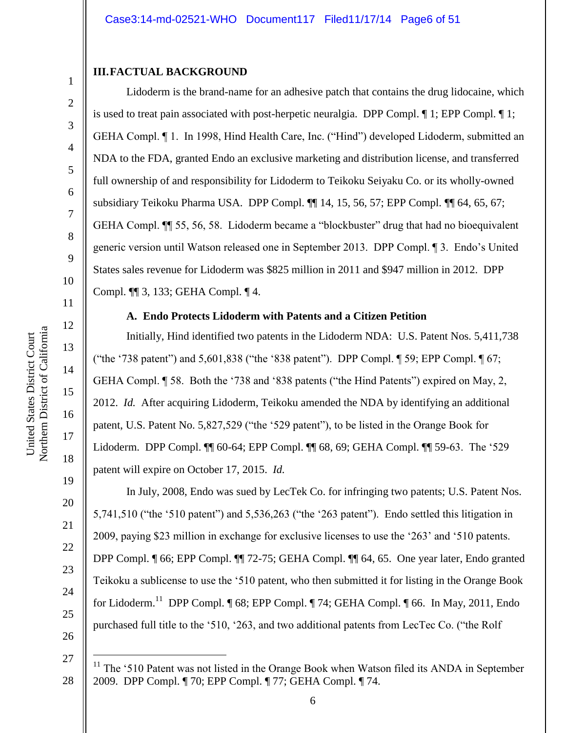#### **III.FACTUAL BACKGROUND**

Lidoderm is the brand-name for an adhesive patch that contains the drug lidocaine, which is used to treat pain associated with post-herpetic neuralgia. DPP Compl. ¶ 1; EPP Compl. ¶ 1; GEHA Compl. ¶ 1. In 1998, Hind Health Care, Inc. ("Hind") developed Lidoderm, submitted an NDA to the FDA, granted Endo an exclusive marketing and distribution license, and transferred full ownership of and responsibility for Lidoderm to Teikoku Seiyaku Co. or its wholly-owned subsidiary Teikoku Pharma USA. DPP Compl. ¶¶ 14, 15, 56, 57; EPP Compl. ¶¶ 64, 65, 67; GEHA Compl. ¶¶ 55, 56, 58. Lidoderm became a "blockbuster" drug that had no bioequivalent generic version until Watson released one in September 2013. DPP Compl. ¶ 3. Endo's United States sales revenue for Lidoderm was \$825 million in 2011 and \$947 million in 2012. DPP Compl. ¶¶ 3, 133; GEHA Compl. ¶ 4.

#### **A. Endo Protects Lidoderm with Patents and a Citizen Petition**

Initially, Hind identified two patents in the Lidoderm NDA: U.S. Patent Nos. 5,411,738 ("the '738 patent") and 5,601,838 ("the '838 patent"). DPP Compl. ¶ 59; EPP Compl. ¶ 67; GEHA Compl. ¶ 58. Both the '738 and '838 patents ("the Hind Patents") expired on May, 2, 2012. *Id.* After acquiring Lidoderm, Teikoku amended the NDA by identifying an additional patent, U.S. Patent No. 5,827,529 ("the '529 patent"), to be listed in the Orange Book for Lidoderm. DPP Compl. ¶¶ 60-64; EPP Compl. ¶¶ 68, 69; GEHA Compl. ¶¶ 59-63. The '529 patent will expire on October 17, 2015. *Id.*

In July, 2008, Endo was sued by LecTek Co. for infringing two patents; U.S. Patent Nos. 5,741,510 ("the '510 patent") and 5,536,263 ("the '263 patent"). Endo settled this litigation in 2009, paying \$23 million in exchange for exclusive licenses to use the '263' and '510 patents. DPP Compl. ¶ 66; EPP Compl. ¶¶ 72-75; GEHA Compl. ¶¶ 64, 65. One year later, Endo granted Teikoku a sublicense to use the '510 patent, who then submitted it for listing in the Orange Book for Lidoderm.<sup>11</sup> DPP Compl. [68; EPP Compl. [74; GEHA Compl. [66. In May, 2011, Endo purchased full title to the '510, '263, and two additional patents from LecTec Co. ("the Rolf"

1

2

3

4

5

6

7

8

9

10

11

12

13

14

15

16

17

18

19

20

21

22

23

24

25

26

 $\overline{a}$ 

<sup>27</sup> 28 The '510 Patent was not listed in the Orange Book when Watson filed its ANDA in September 2009. DPP Compl. ¶ 70; EPP Compl. ¶ 77; GEHA Compl. ¶ 74.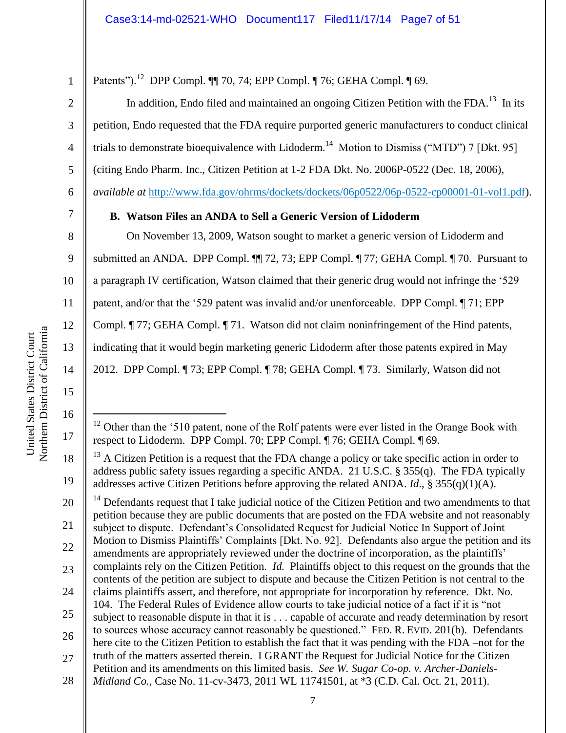5

6

8

9

10

11

12

13

14

15

16

 $\overline{a}$ 

17

18

19

1

Patents").<sup>12</sup> DPP Compl. 11 70, 74; EPP Compl. 1 76; GEHA Compl. 1 69.

In addition, Endo filed and maintained an ongoing Citizen Petition with the FDA.<sup>13</sup> In its petition, Endo requested that the FDA require purported generic manufacturers to conduct clinical trials to demonstrate bioequivalence with Lidoderm.<sup>14</sup> Motion to Dismiss ("MTD") 7 [Dkt. 95] (citing Endo Pharm. Inc., Citizen Petition at 1-2 FDA Dkt. No. 2006P-0522 (Dec. 18, 2006), *available at* [http://www.fda.gov/ohrms/dockets/dockets/06p0522/06p-0522-cp00001-01-vol1.pdf\)](http://www.fda.gov/ohrms/dockets/dockets/06p0522/06p-0522-cp00001-01-vol1.pdf).

# 7

**B. Watson Files an ANDA to Sell a Generic Version of Lidoderm**

On November 13, 2009, Watson sought to market a generic version of Lidoderm and submitted an ANDA. DPP Compl. ¶¶ 72, 73; EPP Compl. ¶ 77; GEHA Compl. ¶ 70. Pursuant to a paragraph IV certification, Watson claimed that their generic drug would not infringe the '529 patent, and/or that the '529 patent was invalid and/or unenforceable. DPP Compl. ¶ 71; EPP Compl. ¶ 77; GEHA Compl. ¶ 71. Watson did not claim noninfringement of the Hind patents, indicating that it would begin marketing generic Lidoderm after those patents expired in May

2012. DPP Compl. ¶ 73; EPP Compl. ¶ 78; GEHA Compl. ¶ 73. Similarly, Watson did not

Northern District of California Northern District of California United States District Court United States District Court

20 21 22 23 24 25 26 27 Defendants request that I take judicial notice of the Citizen Petition and two amendments to that petition because they are public documents that are posted on the FDA website and not reasonably subject to dispute. Defendant's Consolidated Request for Judicial Notice In Support of Joint Motion to Dismiss Plaintiffs' Complaints [Dkt. No. 92]. Defendants also argue the petition and its amendments are appropriately reviewed under the doctrine of incorporation, as the plaintiffs' complaints rely on the Citizen Petition. *Id.* Plaintiffs object to this request on the grounds that the contents of the petition are subject to dispute and because the Citizen Petition is not central to the claims plaintiffs assert, and therefore, not appropriate for incorporation by reference. Dkt. No. 104. The Federal Rules of Evidence allow courts to take judicial notice of a fact if it is "not subject to reasonable dispute in that it is . . . capable of accurate and ready determination by resort to sources whose accuracy cannot reasonably be questioned." FED. R. EVID. 201(b). Defendants here cite to the Citizen Petition to establish the fact that it was pending with the FDA –not for the truth of the matters asserted therein. I GRANT the Request for Judicial Notice for the Citizen Petition and its amendments on this limited basis. *See W. Sugar Co-op. v. Archer-Daniels-*

28 *Midland Co.*, Case No. 11-cv-3473, 2011 WL 11741501, at \*3 (C.D. Cal. Oct. 21, 2011).

 $12$  Other than the '510 patent, none of the Rolf patents were ever listed in the Orange Book with respect to Lidoderm. DPP Compl. 70; EPP Compl. ¶ 76; GEHA Compl. ¶ 69.

 $13$  A Citizen Petition is a request that the FDA change a policy or take specific action in order to address public safety issues regarding a specific ANDA. 21 U.S.C. § 355(q). The FDA typically addresses active Citizen Petitions before approving the related ANDA. *Id*., § 355(q)(1)(A).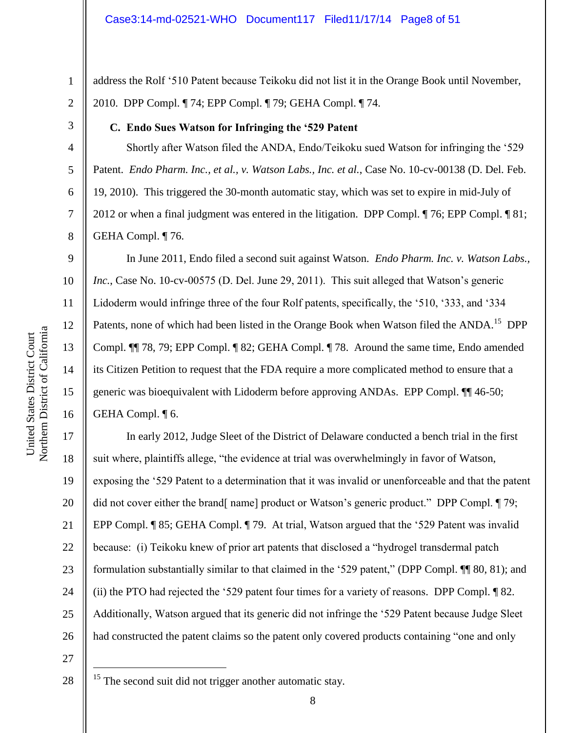5

6

7

8

9

10

11

12

13

14

15

1

address the Rolf '510 Patent because Teikoku did not list it in the Orange Book until November, 2010. DPP Compl. ¶ 74; EPP Compl. ¶ 79; GEHA Compl. ¶ 74.

# **C. Endo Sues Watson for Infringing the '529 Patent**

Shortly after Watson filed the ANDA, Endo/Teikoku sued Watson for infringing the '529 Patent. *Endo Pharm. Inc., et al., v. Watson Labs., Inc. et al.*, Case No. 10-cv-00138 (D. Del. Feb. 19, 2010). This triggered the 30-month automatic stay, which was set to expire in mid-July of 2012 or when a final judgment was entered in the litigation. DPP Compl. ¶ 76; EPP Compl. ¶ 81; GEHA Compl. ¶ 76.

16 In June 2011, Endo filed a second suit against Watson. *Endo Pharm. Inc. v. Watson Labs., Inc.*, Case No. 10-cv-00575 (D. Del. June 29, 2011). This suit alleged that Watson's generic Lidoderm would infringe three of the four Rolf patents, specifically, the  $\degree$ 510,  $\degree$ 333, and  $\degree$ 334 Patents, none of which had been listed in the Orange Book when Watson filed the ANDA.<sup>15</sup> DPP Compl. ¶¶ 78, 79; EPP Compl. ¶ 82; GEHA Compl. ¶ 78. Around the same time, Endo amended its Citizen Petition to request that the FDA require a more complicated method to ensure that a generic was bioequivalent with Lidoderm before approving ANDAs. EPP Compl. ¶¶ 46-50; GEHA Compl. ¶ 6.

17 18 19 20 21 22 23 24 25 26 In early 2012, Judge Sleet of the District of Delaware conducted a bench trial in the first suit where, plaintiffs allege, "the evidence at trial was overwhelmingly in favor of Watson, exposing the '529 Patent to a determination that it was invalid or unenforceable and that the patent did not cover either the brand[ name] product or Watson's generic product." DPP Compl. [79; EPP Compl. ¶ 85; GEHA Compl. ¶ 79. At trial, Watson argued that the '529 Patent was invalid because: (i) Teikoku knew of prior art patents that disclosed a "hydrogel transdermal patch formulation substantially similar to that claimed in the '529 patent," (DPP Compl. ¶¶ 80, 81); and (ii) the PTO had rejected the '529 patent four times for a variety of reasons. DPP Compl. ¶ 82. Additionally, Watson argued that its generic did not infringe the '529 Patent because Judge Sleet had constructed the patent claims so the patent only covered products containing "one and only

27

28

 $\overline{a}$ 

<sup>15</sup> The second suit did not trigger another automatic stay.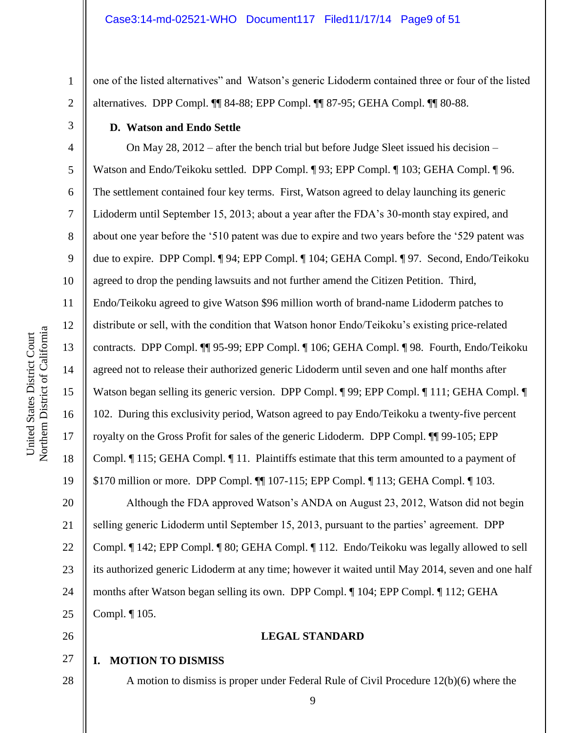one of the listed alternatives" and Watson's generic Lidoderm contained three or four of the listed alternatives. DPP Compl. ¶¶ 84-88; EPP Compl. ¶¶ 87-95; GEHA Compl. ¶¶ 80-88.

#### **D. Watson and Endo Settle**

4 5 6 7 8 9 10 11 12 13 14 15 16 17 18 19 20 21 22 23 24 25 On May 28, 2012 – after the bench trial but before Judge Sleet issued his decision – Watson and Endo/Teikoku settled. DPP Compl. ¶ 93; EPP Compl. ¶ 103; GEHA Compl. ¶ 96. The settlement contained four key terms. First, Watson agreed to delay launching its generic Lidoderm until September 15, 2013; about a year after the FDA's 30-month stay expired, and about one year before the '510 patent was due to expire and two years before the '529 patent was due to expire. DPP Compl. ¶ 94; EPP Compl. ¶ 104; GEHA Compl. ¶ 97. Second, Endo/Teikoku agreed to drop the pending lawsuits and not further amend the Citizen Petition. Third, Endo/Teikoku agreed to give Watson \$96 million worth of brand-name Lidoderm patches to distribute or sell, with the condition that Watson honor Endo/Teikoku's existing price-related contracts. DPP Compl. ¶¶ 95-99; EPP Compl. ¶ 106; GEHA Compl. ¶ 98. Fourth, Endo/Teikoku agreed not to release their authorized generic Lidoderm until seven and one half months after Watson began selling its generic version. DPP Compl. ¶ 99; EPP Compl. ¶ 111; GEHA Compl. ¶ 102. During this exclusivity period, Watson agreed to pay Endo/Teikoku a twenty-five percent royalty on the Gross Profit for sales of the generic Lidoderm. DPP Compl. ¶¶ 99-105; EPP Compl. ¶ 115; GEHA Compl. ¶ 11. Plaintiffs estimate that this term amounted to a payment of \$170 million or more. DPP Compl. ¶¶ 107-115; EPP Compl. ¶ 113; GEHA Compl. ¶ 103. Although the FDA approved Watson's ANDA on August 23, 2012, Watson did not begin selling generic Lidoderm until September 15, 2013, pursuant to the parties' agreement. DPP Compl. ¶ 142; EPP Compl. ¶ 80; GEHA Compl. ¶ 112. Endo/Teikoku was legally allowed to sell its authorized generic Lidoderm at any time; however it waited until May 2014, seven and one half months after Watson began selling its own. DPP Compl. ¶ 104; EPP Compl. ¶ 112; GEHA Compl. ¶ 105.

26

28

#### **LEGAL STANDARD**

#### 27 **I. MOTION TO DISMISS**

A motion to dismiss is proper under Federal Rule of Civil Procedure 12(b)(6) where the

1

2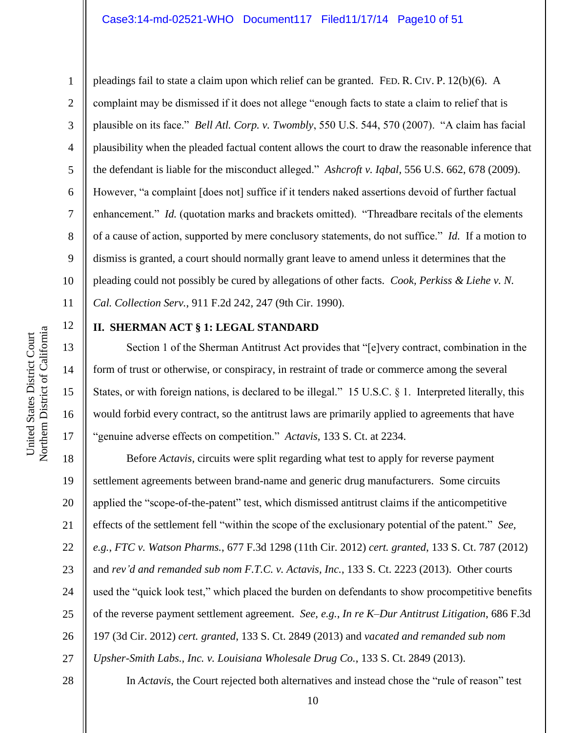4 5 6 7 9 10 pleadings fail to state a claim upon which relief can be granted. FED. R. CIV. P. 12(b)(6). A complaint may be dismissed if it does not allege "enough facts to state a claim to relief that is plausible on its face." *Bell Atl. Corp. v. Twombly*, 550 U.S. 544, 570 (2007). "A claim has facial plausibility when the pleaded factual content allows the court to draw the reasonable inference that the defendant is liable for the misconduct alleged." *Ashcroft v. Iqbal*, 556 U.S. 662, 678 (2009). However, "a complaint [does not] suffice if it tenders naked assertions devoid of further factual enhancement." *Id.* (quotation marks and brackets omitted). "Threadbare recitals of the elements of a cause of action, supported by mere conclusory statements, do not suffice." *Id.* If a motion to dismiss is granted, a court should normally grant leave to amend unless it determines that the pleading could not possibly be cured by allegations of other facts. *Cook, Perkiss & Liehe v. N. Cal. Collection Serv.*, 911 F.2d 242, 247 (9th Cir. 1990).

12

11

13

14

15

16

17

1

2

3

8

### **II. SHERMAN ACT § 1: LEGAL STANDARD**

Section 1 of the Sherman Antitrust Act provides that "[e]very contract, combination in the form of trust or otherwise, or conspiracy, in restraint of trade or commerce among the several States, or with foreign nations, is declared to be illegal." 15 U.S.C. § 1. Interpreted literally, this would forbid every contract, so the antitrust laws are primarily applied to agreements that have "genuine adverse effects on competition." *Actavis,* 133 S. Ct. at 2234.

18 19 20 21 22 23 24 25 26 27 Before *Actavis*, circuits were split regarding what test to apply for reverse payment settlement agreements between brand-name and generic drug manufacturers. Some circuits applied the "scope-of-the-patent" test, which dismissed antitrust claims if the anticompetitive effects of the settlement fell "within the scope of the exclusionary potential of the patent." *See, e.g.*, *FTC v. Watson Pharms.*, 677 F.3d 1298 (11th Cir. 2012) *cert. granted*, 133 S. Ct. 787 (2012) and *rev'd and remanded sub nom F.T.C. v. Actavis, Inc.*, 133 S. Ct. 2223 (2013). Other courts used the "quick look test," which placed the burden on defendants to show procompetitive benefits of the reverse payment settlement agreement. *See, e.g.*, *In re K–Dur Antitrust Litigation*, 686 F.3d 197 (3d Cir. 2012) *cert. granted*, 133 S. Ct. 2849 (2013) and *vacated and remanded sub nom Upsher-Smith Labs., Inc. v. Louisiana Wholesale Drug Co.*, 133 S. Ct. 2849 (2013).

28

Northern District of California Northern District of California United States District Court United States District Court

In *Actavis*, the Court rejected both alternatives and instead chose the "rule of reason" test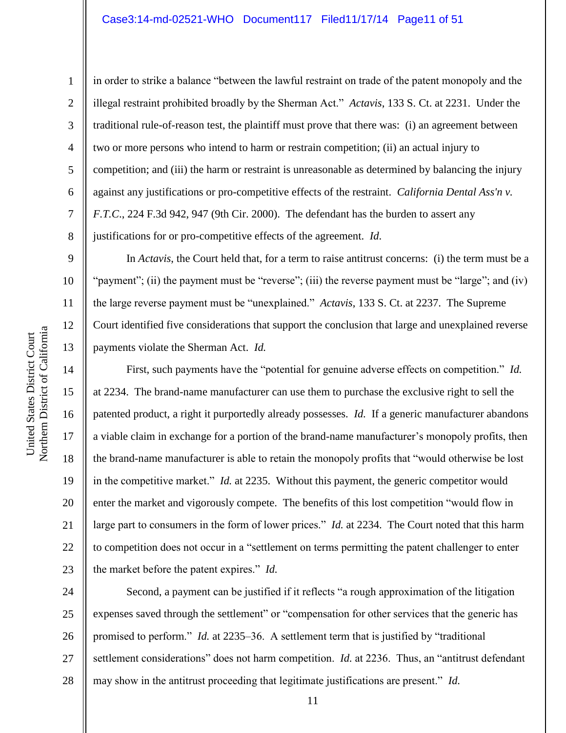2

3

4

5

6

7

8

9

10

11

12

13

14

15

16

17

18

19

20

21

22

23

in order to strike a balance "between the lawful restraint on trade of the patent monopoly and the illegal restraint prohibited broadly by the Sherman Act." *Actavis*, 133 S. Ct. at 2231. Under the traditional rule-of-reason test, the plaintiff must prove that there was: (i) an agreement between two or more persons who intend to harm or restrain competition; (ii) an actual injury to competition; and (iii) the harm or restraint is unreasonable as determined by balancing the injury against any justifications or pro-competitive effects of the restraint. *California Dental Ass'n v. F.T.C*., 224 F.3d 942, 947 (9th Cir. 2000). The defendant has the burden to assert any justifications for or pro-competitive effects of the agreement. *Id*.

In *Actavis*, the Court held that, for a term to raise antitrust concerns: (i) the term must be a "payment"; (ii) the payment must be "reverse"; (iii) the reverse payment must be "large"; and (iv) the large reverse payment must be "unexplained." *Actavis*, 133 S. Ct. at 2237. The Supreme Court identified five considerations that support the conclusion that large and unexplained reverse payments violate the Sherman Act. *Id.*

First, such payments have the "potential for genuine adverse effects on competition." *Id.* at 2234. The brand-name manufacturer can use them to purchase the exclusive right to sell the patented product, a right it purportedly already possesses. *Id.* If a generic manufacturer abandons a viable claim in exchange for a portion of the brand-name manufacturer's monopoly profits, then the brand-name manufacturer is able to retain the monopoly profits that "would otherwise be lost in the competitive market." *Id.* at 2235. Without this payment, the generic competitor would enter the market and vigorously compete. The benefits of this lost competition "would flow in large part to consumers in the form of lower prices." *Id.* at 2234. The Court noted that this harm to competition does not occur in a "settlement on terms permitting the patent challenger to enter the market before the patent expires." *Id.*

24 25 26 27 28 Second, a payment can be justified if it reflects "a rough approximation of the litigation expenses saved through the settlement" or "compensation for other services that the generic has promised to perform." *Id.* at 2235–36. A settlement term that is justified by "traditional settlement considerations" does not harm competition. *Id.* at 2236. Thus, an "antitrust defendant may show in the antitrust proceeding that legitimate justifications are present." *Id.*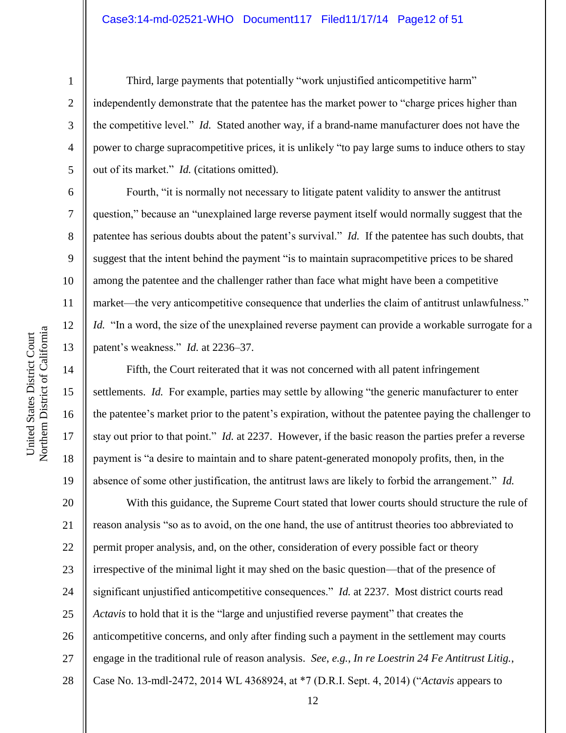#### Case3:14-md-02521-WHO Document117 Filed11/17/14 Page12 of 51

1

2

3

4

5

6

7

8

9

10

11

12

13

14

15

16

17

18

19

Third, large payments that potentially "work unjustified anticompetitive harm" independently demonstrate that the patentee has the market power to "charge prices higher than the competitive level." *Id.* Stated another way, if a brand-name manufacturer does not have the power to charge supracompetitive prices, it is unlikely "to pay large sums to induce others to stay out of its market." *Id.* (citations omitted).

Fourth, "it is normally not necessary to litigate patent validity to answer the antitrust question," because an "unexplained large reverse payment itself would normally suggest that the patentee has serious doubts about the patent's survival." *Id.* If the patentee has such doubts, that suggest that the intent behind the payment "is to maintain supracompetitive prices to be shared among the patentee and the challenger rather than face what might have been a competitive market—the very anticompetitive consequence that underlies the claim of antitrust unlawfulness." *Id.* "In a word, the size of the unexplained reverse payment can provide a workable surrogate for a patent's weakness." *Id.* at 2236–37.

Fifth, the Court reiterated that it was not concerned with all patent infringement settlements. *Id.* For example, parties may settle by allowing "the generic manufacturer to enter the patentee's market prior to the patent's expiration, without the patentee paying the challenger to stay out prior to that point." *Id.* at 2237. However, if the basic reason the parties prefer a reverse payment is "a desire to maintain and to share patent-generated monopoly profits, then, in the absence of some other justification, the antitrust laws are likely to forbid the arrangement." *Id.*

20 21 22 23 24 25 26 27 28 With this guidance, the Supreme Court stated that lower courts should structure the rule of reason analysis "so as to avoid, on the one hand, the use of antitrust theories too abbreviated to permit proper analysis, and, on the other, consideration of every possible fact or theory irrespective of the minimal light it may shed on the basic question—that of the presence of significant unjustified anticompetitive consequences." *Id.* at 2237. Most district courts read *Actavis* to hold that it is the "large and unjustified reverse payment" that creates the anticompetitive concerns, and only after finding such a payment in the settlement may courts engage in the traditional rule of reason analysis. *See*, *e.g.*, *In re Loestrin 24 Fe Antitrust Litig.*, Case No. 13-mdl-2472, 2014 WL 4368924, at  $*7$  (D.R.I. Sept. 4, 2014) ("*Actavis* appears to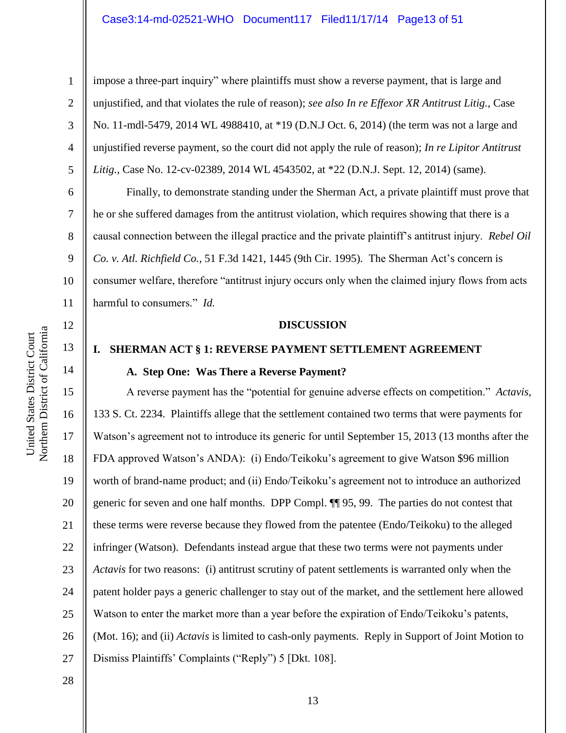#### Case3:14-md-02521-WHO Document117 Filed11/17/14 Page13 of 51

1

2

3

4

5

6

8

impose a three-part inquiry" where plaintiffs must show a reverse payment, that is large and unjustified, and that violates the rule of reason); *see also In re Effexor XR Antitrust Litig.*, Case No. 11-mdl-5479, 2014 WL 4988410, at \*19 (D.N.J Oct. 6, 2014) (the term was not a large and unjustified reverse payment, so the court did not apply the rule of reason); *In re Lipitor Antitrust Litig.*, Case No. 12-cv-02389, 2014 WL 4543502, at \*22 (D.N.J. Sept. 12, 2014) (same).

Finally, to demonstrate standing under the Sherman Act, a private plaintiff must prove that he or she suffered damages from the antitrust violation, which requires showing that there is a causal connection between the illegal practice and the private plaintiff's antitrust injury. *Rebel Oil Co. v. Atl. Richfield Co.*, 51 F.3d 1421, 1445 (9th Cir. 1995). The Sherman Act's concern is consumer welfare, therefore "antitrust injury occurs only when the claimed injury flows from acts harmful to consumers." *Id.*

#### **DISCUSSION**

# **I. SHERMAN ACT § 1: REVERSE PAYMENT SETTLEMENT AGREEMENT A. Step One: Was There a Reverse Payment?**

16 20 21 22 23 24 26 27 A reverse payment has the "potential for genuine adverse effects on competition." *Actavis*, 133 S. Ct. 2234. Plaintiffs allege that the settlement contained two terms that were payments for Watson's agreement not to introduce its generic for until September 15, 2013 (13 months after the FDA approved Watson's ANDA): (i) Endo/Teikoku's agreement to give Watson \$96 million worth of brand-name product; and (ii) Endo/Teikoku's agreement not to introduce an authorized generic for seven and one half months. DPP Compl. ¶¶ 95, 99. The parties do not contest that these terms were reverse because they flowed from the patentee (Endo/Teikoku) to the alleged infringer (Watson). Defendants instead argue that these two terms were not payments under *Actavis* for two reasons: (i) antitrust scrutiny of patent settlements is warranted only when the patent holder pays a generic challenger to stay out of the market, and the settlement here allowed Watson to enter the market more than a year before the expiration of Endo/Teikoku's patents, (Mot. 16); and (ii) *Actavis* is limited to cash-only payments. Reply in Support of Joint Motion to Dismiss Plaintiffs' Complaints ("Reply") 5 [Dkt. 108].

28

25

United States District Court

17

18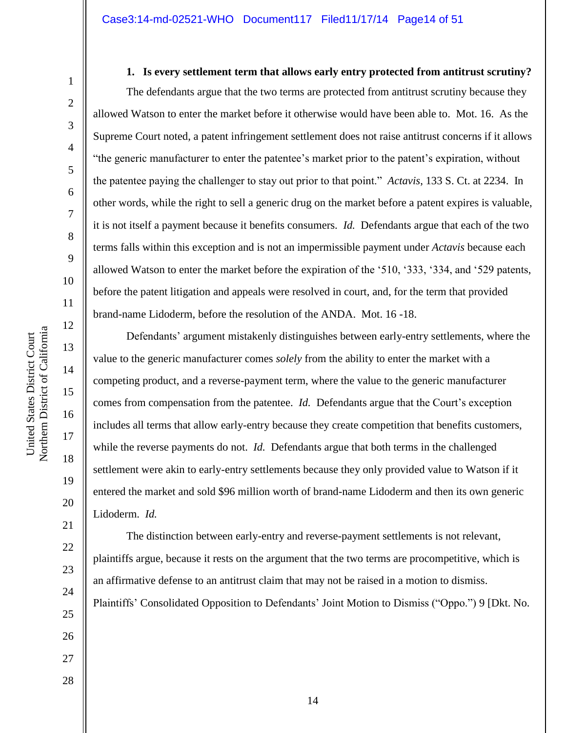2

3

4

5

6

7

8

9

10

11

12

13

14

15

16

17

18

19

20

21

22

23

24

25

26

27

#### **1. Is every settlement term that allows early entry protected from antitrust scrutiny?**

The defendants argue that the two terms are protected from antitrust scrutiny because they allowed Watson to enter the market before it otherwise would have been able to. Mot. 16. As the Supreme Court noted, a patent infringement settlement does not raise antitrust concerns if it allows "the generic manufacturer to enter the patentee's market prior to the patent's expiration, without the patentee paying the challenger to stay out prior to that point." *Actavis*, 133 S. Ct. at 2234. In other words, while the right to sell a generic drug on the market before a patent expires is valuable, it is not itself a payment because it benefits consumers. *Id.* Defendants argue that each of the two terms falls within this exception and is not an impermissible payment under *Actavis* because each allowed Watson to enter the market before the expiration of the '510, '333, '334, and '529 patents, before the patent litigation and appeals were resolved in court, and, for the term that provided brand-name Lidoderm, before the resolution of the ANDA. Mot. 16 -18.

Defendants' argument mistakenly distinguishes between early-entry settlements, where the value to the generic manufacturer comes *solely* from the ability to enter the market with a competing product, and a reverse-payment term, where the value to the generic manufacturer comes from compensation from the patentee. *Id.* Defendants argue that the Court's exception includes all terms that allow early-entry because they create competition that benefits customers, while the reverse payments do not. *Id.* Defendants argue that both terms in the challenged settlement were akin to early-entry settlements because they only provided value to Watson if it entered the market and sold \$96 million worth of brand-name Lidoderm and then its own generic Lidoderm. *Id.*

The distinction between early-entry and reverse-payment settlements is not relevant, plaintiffs argue, because it rests on the argument that the two terms are procompetitive, which is an affirmative defense to an antitrust claim that may not be raised in a motion to dismiss. Plaintiffs' Consolidated Opposition to Defendants' Joint Motion to Dismiss ("Oppo.") 9 [Dkt. No.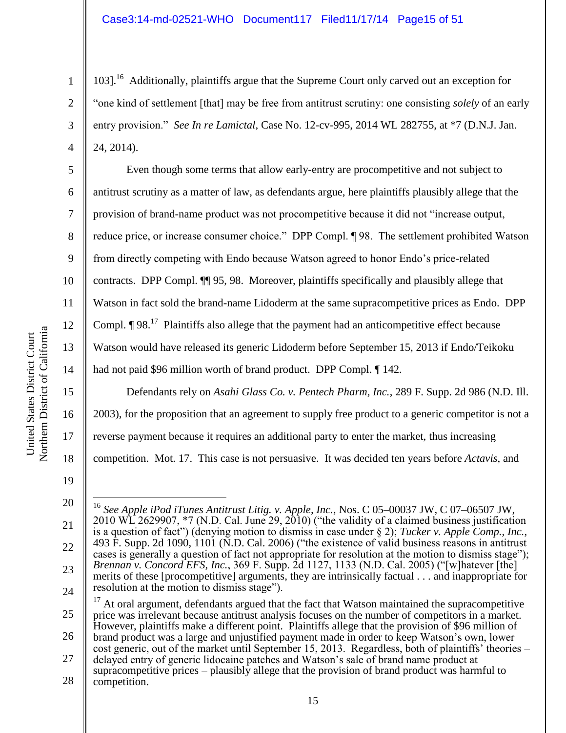103].<sup>16</sup> Additionally, plaintiffs argue that the Supreme Court only carved out an exception for "one kind of settlement [that] may be free from antitrust scrutiny: one consisting *solely* of an early entry provision." *See In re Lamictal*, Case No. 12-cv-995, 2014 WL 282755, at \*7 (D.N.J. Jan. 24, 2014).

Even though some terms that allow early-entry are procompetitive and not subject to antitrust scrutiny as a matter of law, as defendants argue, here plaintiffs plausibly allege that the provision of brand-name product was not procompetitive because it did not "increase output, reduce price, or increase consumer choice." DPP Compl. ¶ 98. The settlement prohibited Watson from directly competing with Endo because Watson agreed to honor Endo's price-related contracts. DPP Compl. ¶¶ 95, 98. Moreover, plaintiffs specifically and plausibly allege that Watson in fact sold the brand-name Lidoderm at the same supracompetitive prices as Endo. DPP Compl.  $\P$  98.<sup>17</sup> Plaintiffs also allege that the payment had an anticompetitive effect because Watson would have released its generic Lidoderm before September 15, 2013 if Endo/Teikoku had not paid \$96 million worth of brand product. DPP Compl. ¶ 142.

Defendants rely on *Asahi Glass Co. v. Pentech Pharm, Inc.*, 289 F. Supp. 2d 986 (N.D. Ill. 2003), for the proposition that an agreement to supply free product to a generic competitor is not a reverse payment because it requires an additional party to enter the market, thus increasing competition. Mot. 17. This case is not persuasive. It was decided ten years before *Actavis*, and

21

22

23

24

1

2

3

4

5

6

7

8

9

10

11

12

13

14

15

16

17

18

25 26 27 <sup>17</sup> At oral argument, defendants argued that the fact that Watson maintained the supracompetitive price was irrelevant because antitrust analysis focuses on the number of competitors in a market. However, plaintiffs make a different point. Plaintiffs allege that the provision of \$96 million of brand product was a large and unjustified payment made in order to keep Watson's own, lower cost generic, out of the market until September 15, 2013. Regardless, both of plaintiffs' theories – delayed entry of generic lidocaine patches and Watson's sale of brand name product at supracompetitive prices – plausibly allege that the provision of brand product was harmful to

<sup>19</sup> 20

 $\overline{a}$ <sup>16</sup> *See Apple iPod iTunes Antitrust Litig. v. Apple, Inc.*, Nos. C 05–00037 JW, C 07–06507 JW,  $2010 \text{ WL}$  2629907,  $*7$  (N.D. Cal. June 29,  $2010$ ) ("the validity of a claimed business justification is a question of fact") (denying motion to dismiss in case under § 2); *Tucker v. Apple Comp., Inc.*, 493 F. Supp. 2d 1090, 1101 (N.D. Cal. 2006) ("the existence of valid business reasons in antitrust cases is generally a question of fact not appropriate for resolution at the motion to dismiss stage"); *Brennan v. Concord EFS, Inc.*, 369 F. Supp. 2d 1127, 1133 (N.D. Cal. 2005) ("[w]hatever [the] merits of these [procompetitive] arguments, they are intrinsically factual . . . and inappropriate for resolution at the motion to dismiss stage").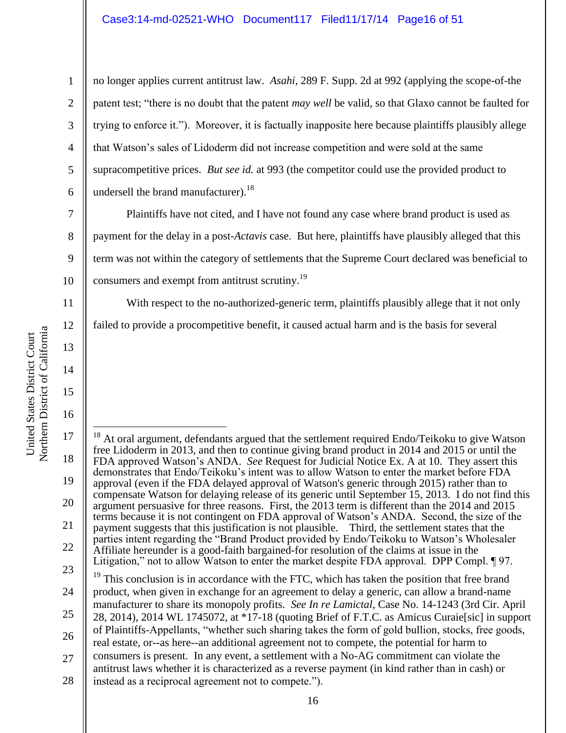no longer applies current antitrust law. *Asahi*, 289 F. Supp. 2d at 992 (applying the scope-of-the patent test; "there is no doubt that the patent *may well* be valid, so that Glaxo cannot be faulted for trying to enforce it."). Moreover, it is factually inapposite here because plaintiffs plausibly allege that Watson's sales of Lidoderm did not increase competition and were sold at the same supracompetitive prices. *But see id.* at 993 (the competitor could use the provided product to undersell the brand manufacturer).<sup>18</sup>

Plaintiffs have not cited, and I have not found any case where brand product is used as payment for the delay in a post-*Actavis* case. But here, plaintiffs have plausibly alleged that this term was not within the category of settlements that the Supreme Court declared was beneficial to consumers and exempt from antitrust scrutiny.<sup>19</sup>

With respect to the no-authorized-generic term, plaintiffs plausibly allege that it not only

failed to provide a procompetitive benefit, it caused actual harm and is the basis for several

17 18 19 20 21 22 23 24 25 26 27 28  $\overline{a}$ <sup>18</sup> At oral argument, defendants argued that the settlement required Endo/Teikoku to give Watson free Lidoderm in 2013, and then to continue giving brand product in 2014 and 2015 or until the FDA approved Watson's ANDA. *See* Request for Judicial Notice Ex. A at 10. They assert this demonstrates that Endo/Teikoku's intent was to allow Watson to enter the market before FDA approval (even if the FDA delayed approval of Watson's generic through 2015) rather than to compensate Watson for delaying release of its generic until September 15, 2013. I do not find this argument persuasive for three reasons. First, the 2013 term is different than the 2014 and 2015 terms because it is not contingent on FDA approval of Watson's ANDA. Second, the size of the payment suggests that this justification is not plausible. Third, the settlement states that the parties intent regarding the "Brand Product provided by Endo/Teikoku to Watson's Wholesaler Affiliate hereunder is a good-faith bargained-for resolution of the claims at issue in the Litigation," not to allow Watson to enter the market despite FDA approval. DPP Compl. ¶ 97. This conclusion is in accordance with the FTC, which has taken the position that free brand product, when given in exchange for an agreement to delay a generic, can allow a brand-name manufacturer to share its monopoly profits. *See In re Lamictal*, Case No. 14-1243 (3rd Cir. April 28, 2014), 2014 WL 1745072, at \*17-18 (quoting Brief of F.T.C. as Amicus Curaie[sic] in support of Plaintiffs-Appellants, "whether such sharing takes the form of gold bullion, stocks, free goods, real estate, or--as here--an additional agreement not to compete, the potential for harm to consumers is present. In any event, a settlement with a No-AG commitment can violate the antitrust laws whether it is characterized as a reverse payment (in kind rather than in cash) or instead as a reciprocal agreement not to compete.").

1

2

3

4

5

6

7

8

9

10

11

12

13

14

15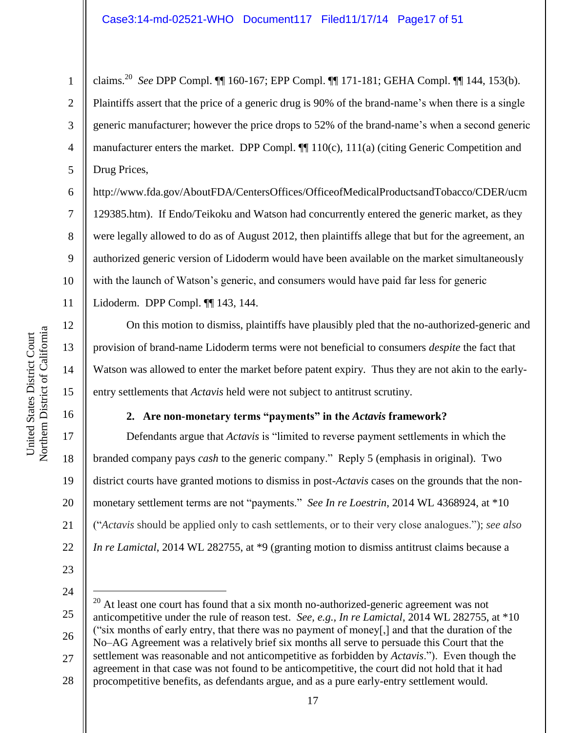1 2 3 4 5 claims.<sup>20</sup> *See* DPP Compl. ¶¶ 160-167; EPP Compl. ¶¶ 171-181; GEHA Compl. ¶¶ 144, 153(b). Plaintiffs assert that the price of a generic drug is 90% of the brand-name's when there is a single generic manufacturer; however the price drops to 52% of the brand-name's when a second generic manufacturer enters the market. DPP Compl.  $\P$  110(c), 111(a) (citing Generic Competition and Drug Prices,

6 7 8 9 10 11 http://www.fda.gov/AboutFDA/CentersOffices/OfficeofMedicalProductsandTobacco/CDER/ucm 129385.htm). If Endo/Teikoku and Watson had concurrently entered the generic market, as they were legally allowed to do as of August 2012, then plaintiffs allege that but for the agreement, an authorized generic version of Lidoderm would have been available on the market simultaneously with the launch of Watson's generic, and consumers would have paid far less for generic

Lidoderm. DPP Compl. ¶¶ 143, 144.

On this motion to dismiss, plaintiffs have plausibly pled that the no-authorized-generic and provision of brand-name Lidoderm terms were not beneficial to consumers *despite* the fact that Watson was allowed to enter the market before patent expiry. Thus they are not akin to the earlyentry settlements that *Actavis* held were not subject to antitrust scrutiny.

# **2. Are non-monetary terms "payments" in the** *Actavis* **framework?**

Defendants argue that *Actavis* is "limited to reverse payment settlements in which the branded company pays *cash* to the generic company." Reply 5 (emphasis in original). Two district courts have granted motions to dismiss in post-*Actavis* cases on the grounds that the nonmonetary settlement terms are not "payments." *See In re Loestrin*, 2014 WL 4368924, at \*10 ("*Actavis* should be applied only to cash settlements, or to their very close analogues."); *see also In re Lamictal*, 2014 WL 282755, at \*9 (granting motion to dismiss antitrust claims because a

- 23
- 24

 $\overline{a}$ 

25 26 27 28  $20$  At least one court has found that a six month no-authorized-generic agreement was not anticompetitive under the rule of reason test. *See, e.g., In re Lamictal*, 2014 WL 282755, at \*10 ("six months of early entry, that there was no payment of money[,] and that the duration of the No–AG Agreement was a relatively brief six months all serve to persuade this Court that the settlement was reasonable and not anticompetitive as forbidden by *Actavis*."). Even though the agreement in that case was not found to be anticompetitive, the court did not hold that it had procompetitive benefits, as defendants argue, and as a pure early-entry settlement would.

12

13

14

15

16

17

18

19

20

21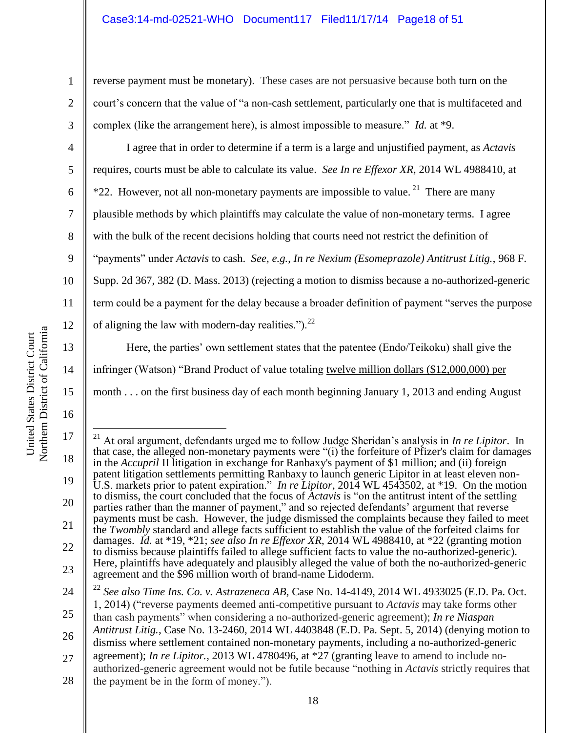reverse payment must be monetary). These cases are not persuasive because both turn on the court's concern that the value of "a non-cash settlement, particularly one that is multifaceted and complex (like the arrangement here), is almost impossible to measure." *Id.* at \*9.

I agree that in order to determine if a term is a large and unjustified payment, as *Actavis* requires, courts must be able to calculate its value. *See In re Effexor XR*, 2014 WL 4988410, at \*22. However, not all non-monetary payments are impossible to value.<sup>21</sup> There are many plausible methods by which plaintiffs may calculate the value of non-monetary terms. I agree with the bulk of the recent decisions holding that courts need not restrict the definition of "payments" under *Actavis* to cash. *See, e.g.*, *In re Nexium (Esomeprazole) Antitrust Litig.*, 968 F. Supp. 2d 367, 382 (D. Mass. 2013) (rejecting a motion to dismiss because a no-authorized-generic term could be a payment for the delay because a broader definition of payment "serves the purpose of aligning the law with modern-day realities."). $^{22}$ 

Here, the parties' own settlement states that the patentee (Endo/Teikoku) shall give the infringer (Watson) "Brand Product of value totaling twelve million dollars (\$12,000,000) per month . . . on the first business day of each month beginning January 1, 2013 and ending August

1

2

3

4

5

6

7

8

9

10

11

12

13

14

15

<sup>17</sup> 18 19 20 21 22 23  $\overline{a}$ <sup>21</sup> At oral argument, defendants urged me to follow Judge Sheridan's analysis in *In re Lipitor*. In that case, the alleged non-monetary payments were "(i) the forfeiture of Pfizer's claim for damages in the *Accupril* II litigation in exchange for Ranbaxy's payment of \$1 million; and (ii) foreign patent litigation settlements permitting Ranbaxy to launch generic Lipitor in at least eleven non-U.S. markets prior to patent expiration." *In re Lipitor*, 2014 WL 4543502, at \*19. On the motion to dismiss, the court concluded that the focus of *Actavis* is "on the antitrust intent of the settling parties rather than the manner of payment," and so rejected defendants' argument that reverse payments must be cash. However, the judge dismissed the complaints because they failed to meet the *Twombly* standard and allege facts sufficient to establish the value of the forfeited claims for damages. *Id.* at \*19, \*21; *see also In re Effexor XR*, 2014 WL 4988410, at \*22 (granting motion to dismiss because plaintiffs failed to allege sufficient facts to value the no-authorized-generic). Here, plaintiffs have adequately and plausibly alleged the value of both the no-authorized-generic agreement and the \$96 million worth of brand-name Lidoderm.

<sup>24</sup> 25 26 27 <sup>22</sup> *See also Time Ins. Co. v. Astrazeneca AB*, Case No. 14-4149, 2014 WL 4933025 (E.D. Pa. Oct. 1, 2014) ("reverse payments deemed anti-competitive pursuant to *Actavis* may take forms other than cash payments" when considering a no-authorized-generic agreement); *In re Niaspan Antitrust Litig.*, Case No. 13-2460, 2014 WL 4403848 (E.D. Pa. Sept. 5, 2014) (denying motion to dismiss where settlement contained non-monetary payments, including a no-authorized-generic agreement); *In re Lipitor.*, 2013 WL 4780496, at \*27 (granting leave to amend to include noauthorized-generic agreement would not be futile because "nothing in *Actavis* strictly requires that

<sup>28</sup> the payment be in the form of money.").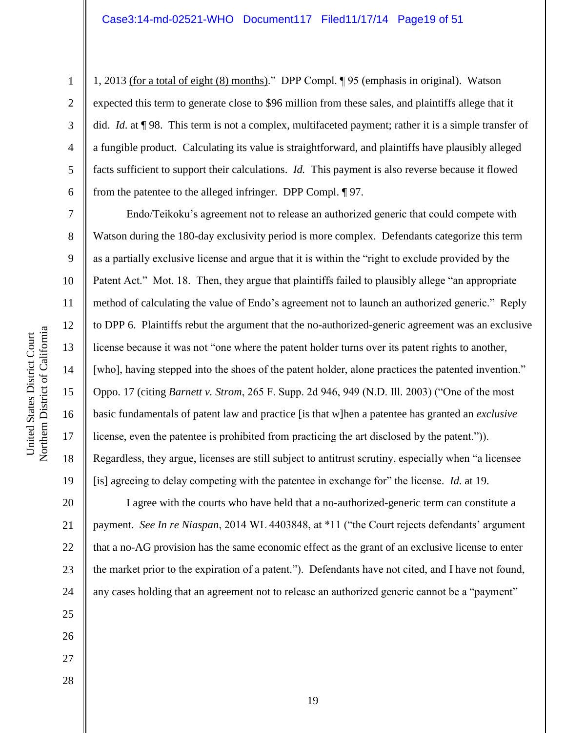1, 2013 (for a total of eight (8) months)." DPP Compl. ¶ 95 (emphasis in original). Watson expected this term to generate close to \$96 million from these sales, and plaintiffs allege that it did. *Id*. at ¶ 98. This term is not a complex, multifaceted payment; rather it is a simple transfer of a fungible product. Calculating its value is straightforward, and plaintiffs have plausibly alleged facts sufficient to support their calculations. *Id.* This payment is also reverse because it flowed from the patentee to the alleged infringer. DPP Compl. ¶ 97.

Endo/Teikoku's agreement not to release an authorized generic that could compete with Watson during the 180-day exclusivity period is more complex. Defendants categorize this term as a partially exclusive license and argue that it is within the "right to exclude provided by the Patent Act." Mot. 18. Then, they argue that plaintiffs failed to plausibly allege "an appropriate method of calculating the value of Endo's agreement not to launch an authorized generic." Reply to DPP 6. Plaintiffs rebut the argument that the no-authorized-generic agreement was an exclusive license because it was not "one where the patent holder turns over its patent rights to another, [who], having stepped into the shoes of the patent holder, alone practices the patented invention." Oppo. 17 (citing *Barnett v. Strom*, 265 F. Supp. 2d 946, 949 (N.D. Ill. 2003) ("One of the most basic fundamentals of patent law and practice [is that w]hen a patentee has granted an *exclusive* license, even the patentee is prohibited from practicing the art disclosed by the patent.")). Regardless, they argue, licenses are still subject to antitrust scrutiny, especially when "a licensee" [is] agreeing to delay competing with the patentee in exchange for" the license. *Id.* at 19.

20 22 23 24 I agree with the courts who have held that a no-authorized-generic term can constitute a payment. *See In re Niaspan*, 2014 WL 4403848, at \*11 ("the Court rejects defendants' argument that a no-AG provision has the same economic effect as the grant of an exclusive license to enter the market prior to the expiration of a patent."). Defendants have not cited, and I have not found, any cases holding that an agreement not to release an authorized generic cannot be a "payment"

Northern District of California Northern District of California United States District Court United States District Court

1

2

3

4

5

6

7

8

9

10

11

12

13

14

15

16

17

18

19

21

25

26

27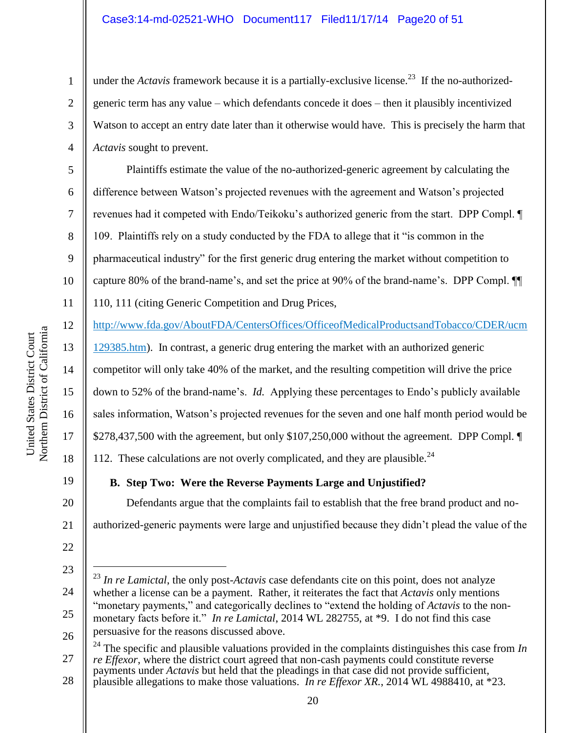under the *Actavis* framework because it is a partially-exclusive license.<sup>23</sup> If the no-authorizedgeneric term has any value – which defendants concede it does – then it plausibly incentivized Watson to accept an entry date later than it otherwise would have. This is precisely the harm that *Actavis* sought to prevent.

Plaintiffs estimate the value of the no-authorized-generic agreement by calculating the difference between Watson's projected revenues with the agreement and Watson's projected revenues had it competed with Endo/Teikoku's authorized generic from the start. DPP Compl. ¶ 109. Plaintiffs rely on a study conducted by the FDA to allege that it "is common in the pharmaceutical industry" for the first generic drug entering the market without competition to capture 80% of the brand-name's, and set the price at 90% of the brand-name's. DPP Compl. ¶¶ 110, 111 (citing Generic Competition and Drug Prices,

[http://www.fda.gov/AboutFDA/CentersOffices/OfficeofMedicalProductsandTobacco/CDER/ucm](http://www.fda.gov/AboutFDA/CentersOffices/OfficeofMedicalProductsandTobacco/CDER/ucm129385.htm)

[129385.htm\)](http://www.fda.gov/AboutFDA/CentersOffices/OfficeofMedicalProductsandTobacco/CDER/ucm129385.htm). In contrast, a generic drug entering the market with an authorized generic competitor will only take 40% of the market, and the resulting competition will drive the price down to 52% of the brand-name's. *Id.* Applying these percentages to Endo's publicly available sales information, Watson's projected revenues for the seven and one half month period would be \$278,437,500 with the agreement, but only \$107,250,000 without the agreement. DPP Compl. ¶ 112. These calculations are not overly complicated, and they are plausible.<sup>24</sup>

19

20

21

1

2

3

4

5

6

7

8

9

10

11

12

13

14

15

16

17

18

**B. Step Two: Were the Reverse Payments Large and Unjustified?**

Defendants argue that the complaints fail to establish that the free brand product and noauthorized-generic payments were large and unjustified because they didn't plead the value of the

<sup>24</sup> The specific and plausible valuations provided in the complaints distinguishes this case from *In re Effexor*, where the district court agreed that non-cash payments could constitute reverse payments under *Actavis* but held that the pleadings in that case did not provide sufficient, plausible allegations to make those valuations. *In re Effexor XR.*, 2014 WL 4988410, at \*23.

Northern District of California Northern District of California United States District Court United States District Court

> 22 23

 $\overline{a}$ 

- 24
- 25
- 27

<sup>26</sup> <sup>23</sup> *In re Lamictal*, the only post-*Actavis* case defendants cite on this point, does not analyze whether a license can be a payment. Rather, it reiterates the fact that *Actavis* only mentions "monetary payments," and categorically declines to "extend the holding of *Actavis* to the nonmonetary facts before it." *In re Lamictal*, 2014 WL 282755, at \*9. I do not find this case persuasive for the reasons discussed above.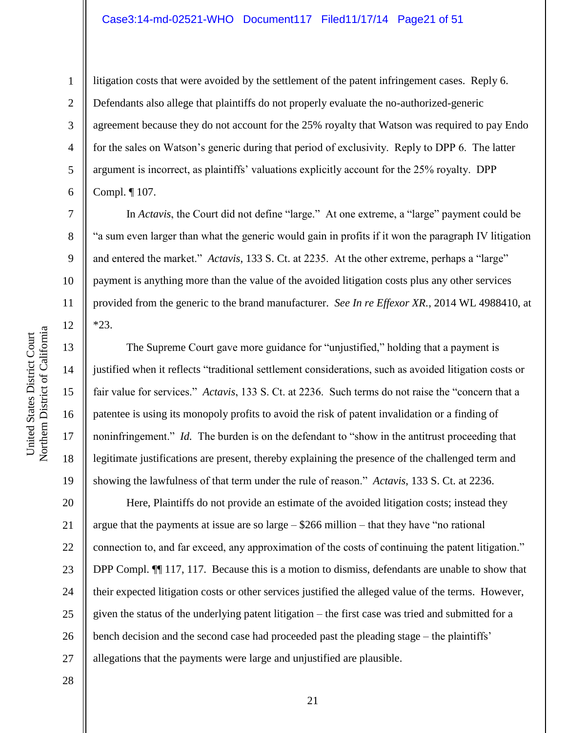#### Case3:14-md-02521-WHO Document117 Filed11/17/14 Page21 of 51

9

10

11

12

13

14

15

16

17

18

19

1

litigation costs that were avoided by the settlement of the patent infringement cases. Reply 6. Defendants also allege that plaintiffs do not properly evaluate the no-authorized-generic agreement because they do not account for the 25% royalty that Watson was required to pay Endo for the sales on Watson's generic during that period of exclusivity. Reply to DPP 6. The latter argument is incorrect, as plaintiffs' valuations explicitly account for the 25% royalty. DPP Compl. ¶ 107.

In *Actavis*, the Court did not define "large." At one extreme, a "large" payment could be "a sum even larger than what the generic would gain in profits if it won the paragraph IV litigation and entered the market." *Actavis*, 133 S. Ct. at 2235. At the other extreme, perhaps a "large" payment is anything more than the value of the avoided litigation costs plus any other services provided from the generic to the brand manufacturer. *See In re Effexor XR.*, 2014 WL 4988410, at \*23.

The Supreme Court gave more guidance for "unjustified," holding that a payment is justified when it reflects "traditional settlement considerations, such as avoided litigation costs or fair value for services." *Actavis*, 133 S. Ct. at 2236. Such terms do not raise the "concern that a patentee is using its monopoly profits to avoid the risk of patent invalidation or a finding of noninfringement." *Id.* The burden is on the defendant to "show in the antitrust proceeding that legitimate justifications are present, thereby explaining the presence of the challenged term and showing the lawfulness of that term under the rule of reason." *Actavis*, 133 S. Ct. at 2236.

20 21 22 23 24 25 26 27 Here, Plaintiffs do not provide an estimate of the avoided litigation costs; instead they argue that the payments at issue are so large  $-$  \$266 million – that they have "no rational" connection to, and far exceed, any approximation of the costs of continuing the patent litigation." DPP Compl.  $\P$  117, 117. Because this is a motion to dismiss, defendants are unable to show that their expected litigation costs or other services justified the alleged value of the terms. However, given the status of the underlying patent litigation – the first case was tried and submitted for a bench decision and the second case had proceeded past the pleading stage – the plaintiffs' allegations that the payments were large and unjustified are plausible.

28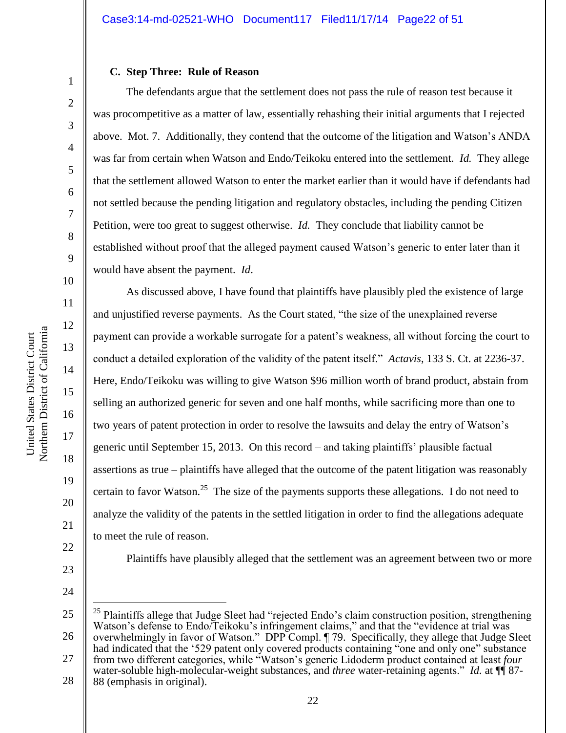#### **C. Step Three: Rule of Reason**

The defendants argue that the settlement does not pass the rule of reason test because it was procompetitive as a matter of law, essentially rehashing their initial arguments that I rejected above. Mot. 7. Additionally, they contend that the outcome of the litigation and Watson's ANDA was far from certain when Watson and Endo/Teikoku entered into the settlement. *Id.* They allege that the settlement allowed Watson to enter the market earlier than it would have if defendants had not settled because the pending litigation and regulatory obstacles, including the pending Citizen Petition, were too great to suggest otherwise. *Id.* They conclude that liability cannot be established without proof that the alleged payment caused Watson's generic to enter later than it would have absent the payment. *Id*.

As discussed above, I have found that plaintiffs have plausibly pled the existence of large and unjustified reverse payments. As the Court stated, "the size of the unexplained reverse payment can provide a workable surrogate for a patent's weakness, all without forcing the court to conduct a detailed exploration of the validity of the patent itself." *Actavis*, 133 S. Ct. at 2236-37. Here, Endo/Teikoku was willing to give Watson \$96 million worth of brand product, abstain from selling an authorized generic for seven and one half months, while sacrificing more than one to two years of patent protection in order to resolve the lawsuits and delay the entry of Watson's generic until September 15, 2013. On this record – and taking plaintiffs' plausible factual assertions as true – plaintiffs have alleged that the outcome of the patent litigation was reasonably certain to favor Watson.<sup>25</sup> The size of the payments supports these allegations. I do not need to analyze the validity of the patents in the settled litigation in order to find the allegations adequate to meet the rule of reason.

Plaintiffs have plausibly alleged that the settlement was an agreement between two or more

24

 $\overline{a}$ 

1

2

3

4

5

6

7

8

9

10

11

12

13

14

15

16

17

18

19

20

21

22

<sup>25</sup> 26 27 <sup>25</sup> Plaintiffs allege that Judge Sleet had "rejected Endo's claim construction position, strengthening Watson's defense to Endo/Teikoku's infringement claims," and that the "evidence at trial was overwhelmingly in favor of Watson." DPP Compl. ¶ 79. Specifically, they allege that Judge Sleet had indicated that the '529 patent only covered products containing "one and only one" substance from two different categories, while "Watson's generic Lidoderm product contained at least *four*

<sup>28</sup> water-soluble high-molecular-weight substances, and *three* water-retaining agents." *Id.* at  $\P$  87-88 (emphasis in original).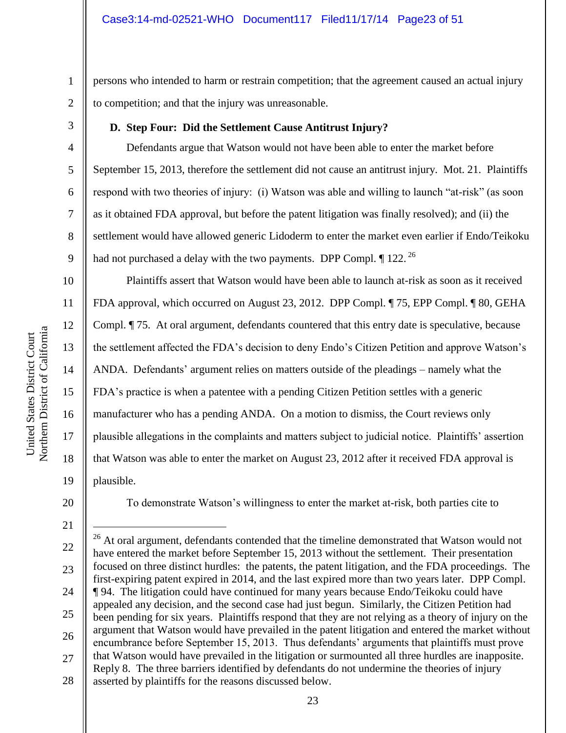persons who intended to harm or restrain competition; that the agreement caused an actual injury to competition; and that the injury was unreasonable.

3

4

5

6

7

8

9

10

11

12

13

14

15

16

17

18

19

1

2

# **D. Step Four: Did the Settlement Cause Antitrust Injury?**

Defendants argue that Watson would not have been able to enter the market before September 15, 2013, therefore the settlement did not cause an antitrust injury. Mot. 21. Plaintiffs respond with two theories of injury: (i) Watson was able and willing to launch "at-risk" (as soon as it obtained FDA approval, but before the patent litigation was finally resolved); and (ii) the settlement would have allowed generic Lidoderm to enter the market even earlier if Endo/Teikoku had not purchased a delay with the two payments. DPP Compl.  $\P$  122.<sup>26</sup>

Plaintiffs assert that Watson would have been able to launch at-risk as soon as it received FDA approval, which occurred on August 23, 2012. DPP Compl. ¶ 75, EPP Compl. ¶ 80, GEHA Compl. ¶ 75. At oral argument, defendants countered that this entry date is speculative, because the settlement affected the FDA's decision to deny Endo's Citizen Petition and approve Watson's ANDA. Defendants' argument relies on matters outside of the pleadings – namely what the FDA's practice is when a patentee with a pending Citizen Petition settles with a generic manufacturer who has a pending ANDA. On a motion to dismiss, the Court reviews only plausible allegations in the complaints and matters subject to judicial notice. Plaintiffs' assertion that Watson was able to enter the market on August 23, 2012 after it received FDA approval is plausible.

20

To demonstrate Watson's willingness to enter the market at-risk, both parties cite to

 $\overline{a}$ 

22 23 24 25 26 27 28 <sup>26</sup> At oral argument, defendants contended that the timeline demonstrated that Watson would not have entered the market before September 15, 2013 without the settlement. Their presentation focused on three distinct hurdles: the patents, the patent litigation, and the FDA proceedings. The first-expiring patent expired in 2014, and the last expired more than two years later. DPP Compl. ¶ 94. The litigation could have continued for many years because Endo/Teikoku could have appealed any decision, and the second case had just begun. Similarly, the Citizen Petition had been pending for six years. Plaintiffs respond that they are not relying as a theory of injury on the argument that Watson would have prevailed in the patent litigation and entered the market without encumbrance before September 15, 2013. Thus defendants' arguments that plaintiffs must prove that Watson would have prevailed in the litigation or surmounted all three hurdles are inapposite. Reply 8. The three barriers identified by defendants do not undermine the theories of injury asserted by plaintiffs for the reasons discussed below.

<sup>21</sup>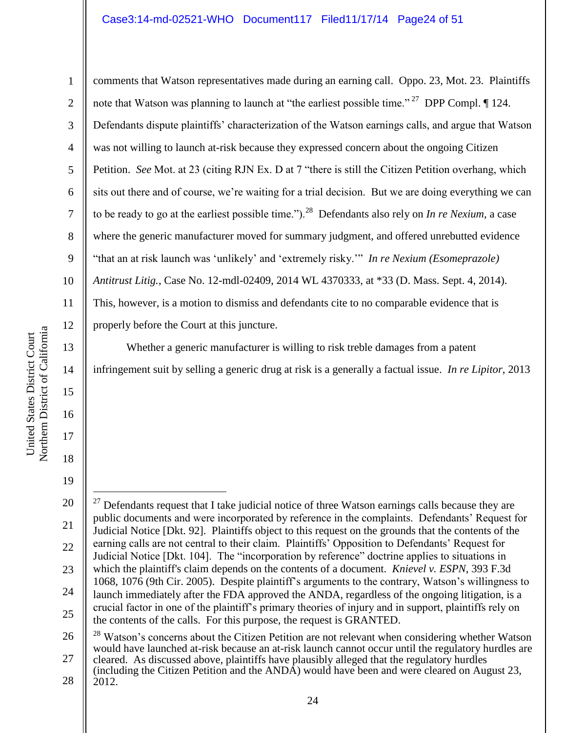## Case3:14-md-02521-WHO Document117 Filed11/17/14 Page24 of 51

1 2 3 4 5 6 7 8 9 10 11 12 comments that Watson representatives made during an earning call. Oppo. 23, Mot. 23. Plaintiffs note that Watson was planning to launch at "the earliest possible time." <sup>27</sup> DPP Compl.  $\P$  124. Defendants dispute plaintiffs' characterization of the Watson earnings calls, and argue that Watson was not willing to launch at-risk because they expressed concern about the ongoing Citizen Petition. *See* Mot. at 23 (citing RJN Ex. D at 7 "there is still the Citizen Petition overhang, which sits out there and of course, we're waiting for a trial decision. But we are doing everything we can to be ready to go at the earliest possible time.").<sup>28</sup> Defendants also rely on *In re Nexium*, a case where the generic manufacturer moved for summary judgment, and offered unrebutted evidence "that an at risk launch was 'unlikely' and 'extremely risky.'" *In re Nexium (Esomeprazole) Antitrust Litig.*, Case No. 12-mdl-02409, 2014 WL 4370333, at \*33 (D. Mass. Sept. 4, 2014). This, however, is a motion to dismiss and defendants cite to no comparable evidence that is properly before the Court at this juncture.

Whether a generic manufacturer is willing to risk treble damages from a patent infringement suit by selling a generic drug at risk is a generally a factual issue. *In re Lipitor*, 2013

20 21 22 23 24 25  $27$  Defendants request that I take judicial notice of three Watson earnings calls because they are public documents and were incorporated by reference in the complaints. Defendants' Request for Judicial Notice [Dkt. 92]. Plaintiffs object to this request on the grounds that the contents of the earning calls are not central to their claim. Plaintiffs' Opposition to Defendants' Request for Judicial Notice [Dkt. 104]. The "incorporation by reference" doctrine applies to situations in which the plaintiff's claim depends on the contents of a document. *Knievel v. ESPN*, 393 F.3d 1068, 1076 (9th Cir. 2005). Despite plaintiff's arguments to the contrary, Watson's willingness to launch immediately after the FDA approved the ANDA, regardless of the ongoing litigation, is a crucial factor in one of the plaintiff's primary theories of injury and in support, plaintiffs rely on the contents of the calls. For this purpose, the request is GRANTED.

26 27 <sup>28</sup> Watson's concerns about the Citizen Petition are not relevant when considering whether Watson would have launched at-risk because an at-risk launch cannot occur until the regulatory hurdles are cleared. As discussed above, plaintiffs have plausibly alleged that the regulatory hurdles

13

14

15

16

17

18

19

 $\overline{a}$ 

<sup>28</sup> (including the Citizen Petition and the ANDA) would have been and were cleared on August 23, 2012.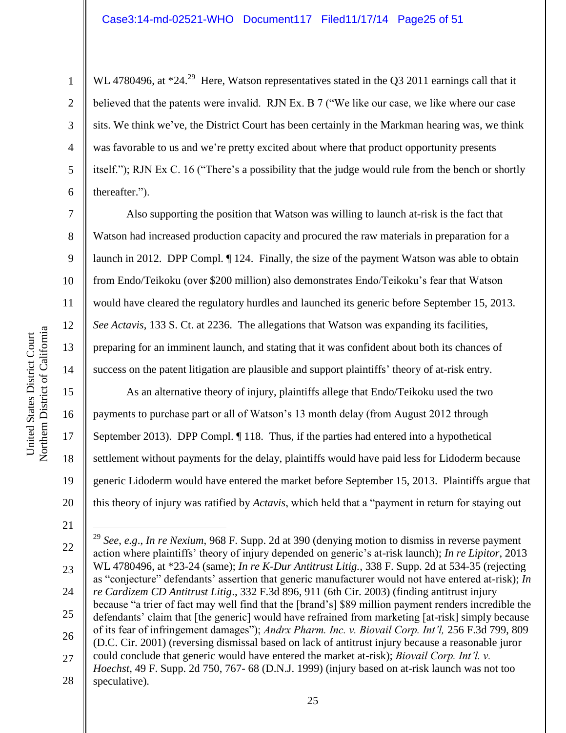2

3

4

5

6

7

8

9

10

11

12

13

14

15

16

17

18

19

20

WL 4780496, at  $*24.^{29}$  Here, Watson representatives stated in the Q3 2011 earnings call that it believed that the patents were invalid. RJN Ex. B 7 ("We like our case, we like where our case sits. We think we've, the District Court has been certainly in the Markman hearing was, we think was favorable to us and we're pretty excited about where that product opportunity presents itself."); RJN Ex C. 16 ("There's a possibility that the judge would rule from the bench or shortly thereafter.").

Also supporting the position that Watson was willing to launch at-risk is the fact that Watson had increased production capacity and procured the raw materials in preparation for a launch in 2012. DPP Compl. ¶ 124. Finally, the size of the payment Watson was able to obtain from Endo/Teikoku (over \$200 million) also demonstrates Endo/Teikoku's fear that Watson would have cleared the regulatory hurdles and launched its generic before September 15, 2013. *See Actavis*, 133 S. Ct. at 2236. The allegations that Watson was expanding its facilities, preparing for an imminent launch, and stating that it was confident about both its chances of success on the patent litigation are plausible and support plaintiffs' theory of at-risk entry.

As an alternative theory of injury, plaintiffs allege that Endo/Teikoku used the two payments to purchase part or all of Watson's 13 month delay (from August 2012 through September 2013). DPP Compl.  $\P$  118. Thus, if the parties had entered into a hypothetical settlement without payments for the delay, plaintiffs would have paid less for Lidoderm because generic Lidoderm would have entered the market before September 15, 2013. Plaintiffs argue that this theory of injury was ratified by *Actavis*, which held that a "payment in return for staying out

21

 $\overline{a}$ 

<sup>22</sup> 23 24 25 26 27 28 <sup>29</sup> *See*, *e.g*., *In re Nexium*, 968 F. Supp. 2d at 390 (denying motion to dismiss in reverse payment action where plaintiffs' theory of injury depended on generic's at-risk launch); *In re Lipitor*, 2013 WL 4780496, at \*23-24 (same); *In re K-Dur Antitrust Litig.*, 338 F. Supp. 2d at 534-35 (rejecting as "conjecture" defendants' assertion that generic manufacturer would not have entered at-risk); *In re Cardizem CD Antitrust Litig*., 332 F.3d 896, 911 (6th Cir. 2003) (finding antitrust injury because "a trier of fact may well find that the [brand's] \$89 million payment renders incredible the defendants' claim that [the generic] would have refrained from marketing [at-risk] simply because of its fear of infringement damages"); *Andrx Pharm. Inc. v. Biovail Corp. Int'l,* 256 F.3d 799, 809 (D.C. Cir. 2001) (reversing dismissal based on lack of antitrust injury because a reasonable juror could conclude that generic would have entered the market at-risk); *Biovail Corp. Int'l. v. Hoechst*, 49 F. Supp. 2d 750, 767- 68 (D.N.J. 1999) (injury based on at-risk launch was not too speculative).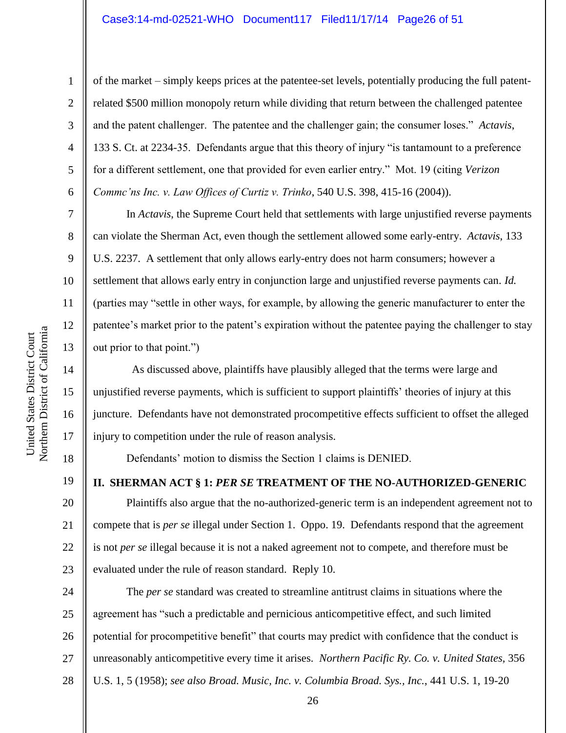6

7

8

9

10

11

12

13

14

15

16

17

18

19

1

of the market – simply keeps prices at the patentee-set levels, potentially producing the full patentrelated \$500 million monopoly return while dividing that return between the challenged patentee and the patent challenger. The patentee and the challenger gain; the consumer loses." *Actavis*, 133 S. Ct. at 2234-35. Defendants argue that this theory of injury "is tantamount to a preference for a different settlement, one that provided for even earlier entry." Mot. 19 (citing *Verizon Commc'ns Inc. v. Law Offices of Curtiz v. Trinko*, 540 U.S. 398, 415-16 (2004)).

In *Actavis*, the Supreme Court held that settlements with large unjustified reverse payments can violate the Sherman Act, even though the settlement allowed some early-entry. *Actavis*, 133 U.S. 2237. A settlement that only allows early-entry does not harm consumers; however a settlement that allows early entry in conjunction large and unjustified reverse payments can. *Id.* (parties may "settle in other ways, for example, by allowing the generic manufacturer to enter the patentee's market prior to the patent's expiration without the patentee paying the challenger to stay out prior to that point.")

 As discussed above, plaintiffs have plausibly alleged that the terms were large and unjustified reverse payments, which is sufficient to support plaintiffs' theories of injury at this juncture. Defendants have not demonstrated procompetitive effects sufficient to offset the alleged injury to competition under the rule of reason analysis.

Defendants' motion to dismiss the Section 1 claims is DENIED.

**II. SHERMAN ACT § 1:** *PER SE* **TREATMENT OF THE NO-AUTHORIZED-GENERIC**

20 21 22 23 Plaintiffs also argue that the no-authorized-generic term is an independent agreement not to compete that is *per se* illegal under Section 1. Oppo. 19. Defendants respond that the agreement is not *per se* illegal because it is not a naked agreement not to compete, and therefore must be evaluated under the rule of reason standard. Reply 10.

24 25 26 27 28 The *per se* standard was created to streamline antitrust claims in situations where the agreement has "such a predictable and pernicious anticompetitive effect, and such limited potential for procompetitive benefit" that courts may predict with confidence that the conduct is unreasonably anticompetitive every time it arises. *Northern Pacific Ry. Co. v. United States,* 356 U.S. 1, 5 (1958); *see also Broad. Music, Inc. v. Columbia Broad. Sys., Inc.*, 441 U.S. 1, 19-20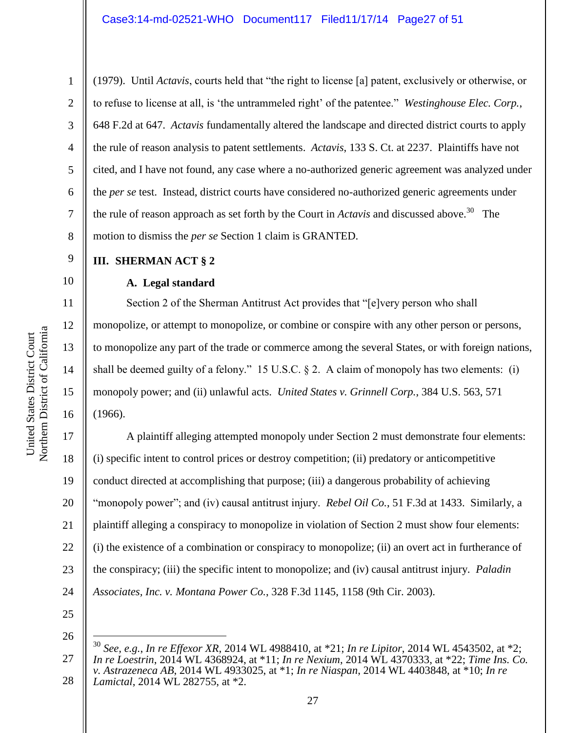(1979). Until *Actavis*, courts held that "the right to license [a] patent, exclusively or otherwise, or to refuse to license at all, is 'the untrammeled right' of the patentee." *Westinghouse Elec. Corp.*, 648 F.2d at 647. *Actavis* fundamentally altered the landscape and directed district courts to apply the rule of reason analysis to patent settlements. *Actavis*, 133 S. Ct. at 2237. Plaintiffs have not cited, and I have not found, any case where a no-authorized generic agreement was analyzed under the *per se* test. Instead, district courts have considered no-authorized generic agreements under the rule of reason approach as set forth by the Court in *Actavis* and discussed above.<sup>30</sup> The motion to dismiss the *per se* Section 1 claim is GRANTED.

### **III. SHERMAN ACT § 2**

### **A. Legal standard**

Section 2 of the Sherman Antitrust Act provides that "[e]very person who shall monopolize, or attempt to monopolize, or combine or conspire with any other person or persons, to monopolize any part of the trade or commerce among the several States, or with foreign nations, shall be deemed guilty of a felony." 15 U.S.C.  $\S$  2. A claim of monopoly has two elements: (i) monopoly power; and (ii) unlawful acts. *United States v. Grinnell Corp.*, 384 U.S. 563, 571 (1966).

17 18 19 20 21 22 23 24 A plaintiff alleging attempted monopoly under Section 2 must demonstrate four elements: (i) specific intent to control prices or destroy competition; (ii) predatory or anticompetitive conduct directed at accomplishing that purpose; (iii) a dangerous probability of achieving "monopoly power"; and (iv) causal antitrust injury. *Rebel Oil Co.*, 51 F.3d at 1433. Similarly, a plaintiff alleging a conspiracy to monopolize in violation of Section 2 must show four elements: (i) the existence of a combination or conspiracy to monopolize; (ii) an overt act in furtherance of the conspiracy; (iii) the specific intent to monopolize; and (iv) causal antitrust injury. *Paladin Associates, Inc. v. Montana Power Co.*, 328 F.3d 1145, 1158 (9th Cir. 2003).

25 26

 $\overline{a}$ 

1

2

3

4

5

6

7

8

9

10

11

12

13

14

15

<sup>27</sup> 28 <sup>30</sup> *See, e.g.*, *In re Effexor XR*, 2014 WL 4988410, at \*21; *In re Lipitor*, 2014 WL 4543502, at \*2; *In re Loestrin*, 2014 WL 4368924, at \*11; *In re Nexium*, 2014 WL 4370333, at \*22; *Time Ins. Co. v. Astrazeneca AB*, 2014 WL 4933025, at \*1; *In re Niaspan*, 2014 WL 4403848, at \*10; *In re Lamictal*, 2014 WL 282755, at \*2.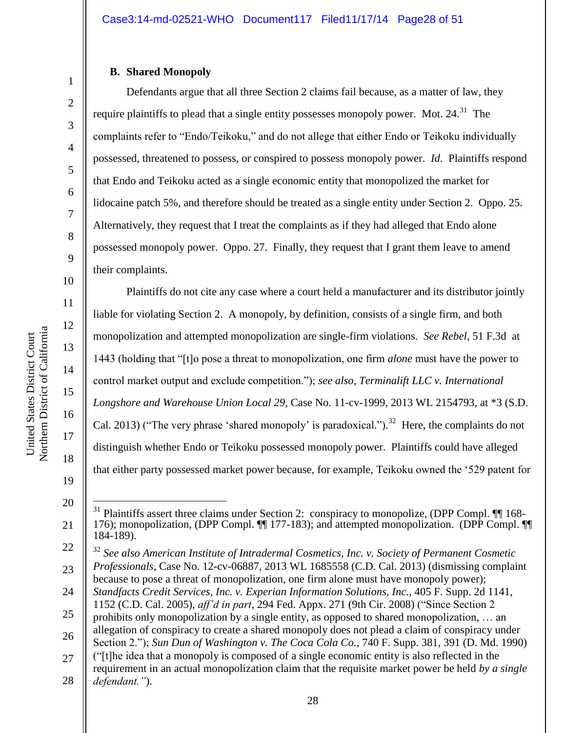#### **B. Shared Monopoly**

Defendants argue that all three Section 2 claims fail because, as a matter of law, they require plaintiffs to plead that a single entity possesses monopoly power. Mot.  $24.^{31}$  The complaints refer to "Endo/Teikoku," and do not allege that either Endo or Teikoku individually possessed, threatened to possess, or conspired to possess monopoly power. *Id.* Plaintiffs respond that Endo and Teikoku acted as a single economic entity that monopolized the market for lidocaine patch 5%, and therefore should be treated as a single entity under Section 2. Oppo. 25. Alternatively, they request that I treat the complaints as if they had alleged that Endo alone possessed monopoly power. Oppo. 27. Finally, they request that I grant them leave to amend their complaints.

Plaintiffs do not cite any case where a court held a manufacturer and its distributor jointly liable for violating Section 2. A monopoly, by definition, consists of a single firm, and both monopolization and attempted monopolization are single-firm violations. *See Rebel*, 51 F.3d at 1443 (holding that "[t]o pose a threat to monopolization, one firm *alone* must have the power to control market output and exclude competition."); *see also, Terminalift LLC v. International Longshore and Warehouse Union Local 29*, Case No. 11-cv-1999, 2013 WL 2154793, at \*3 (S.D. Cal. 2013) ("The very phrase 'shared monopoly' is paradoxical.").<sup>32</sup> Here, the complaints do not distinguish whether Endo or Teikoku possessed monopoly power. Plaintiffs could have alleged that either party possessed market power because, for example, Teikoku owned the '529 patent for

United States District Court

United States District Court

20

 $\overline{a}$ 

1

2

3

4

5

6

7

<sup>21</sup>  $31$  Plaintiffs assert three claims under Section 2: conspiracy to monopolize, (DPP Compl.  $\P$  168-176); monopolization, (DPP Compl. ¶¶ 177-183); and attempted monopolization. (DPP Compl. ¶¶ 184-189).

<sup>22</sup> 23 <sup>32</sup> *See also American Institute of Intradermal Cosmetics, Inc. v. Society of Permanent Cosmetic Professionals*, Case No. 12-cv-06887, 2013 WL 1685558 (C.D. Cal. 2013) (dismissing complaint

because to pose a threat of monopolization, one firm alone must have monopoly power);

<sup>24</sup> 25 *Standfacts Credit Services, Inc. v. Experian Information Solutions, Inc.*, 405 F. Supp. 2d 1141, 1152 (C.D. Cal. 2005), *aff'd in part*, 294 Fed. Appx. 271 (9th Cir. 2008) ("Since Section 2

<sup>26</sup> prohibits only monopolization by a single entity, as opposed to shared monopolization, … an allegation of conspiracy to create a shared monopoly does not plead a claim of conspiracy under

<sup>27</sup> Section 2."); *Sun Dun of Washington v. The Coca Cola Co.*, 740 F. Supp. 381, 391 (D. Md. 1990) ("[t]he idea that a monopoly is composed of a single economic entity is also reflected in the

<sup>28</sup> requirement in an actual monopolization claim that the requisite market power be held *by a single defendant."*).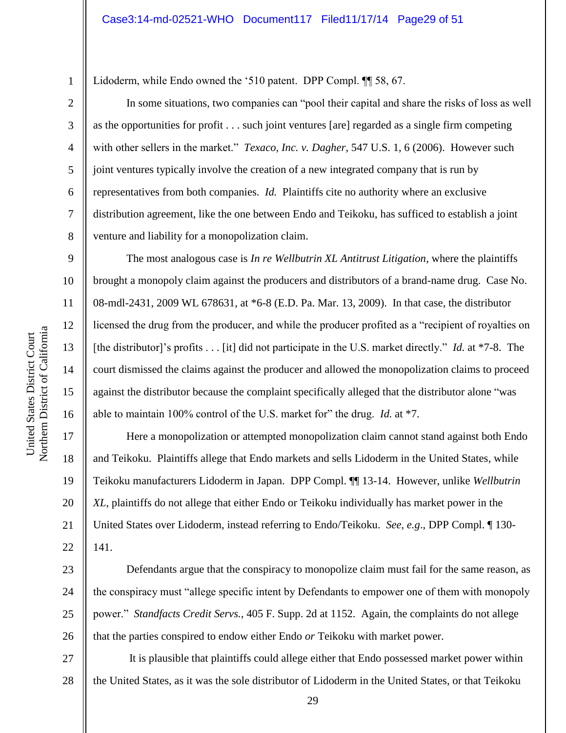Lidoderm, while Endo owned the '510 patent. DPP Compl. ¶¶ 58, 67.

In some situations, two companies can "pool their capital and share the risks of loss as well as the opportunities for profit . . . such joint ventures [are] regarded as a single firm competing with other sellers in the market." *Texaco, Inc. v. Dagher*, 547 U.S. 1, 6 (2006). However such joint ventures typically involve the creation of a new integrated company that is run by representatives from both companies. *Id.* Plaintiffs cite no authority where an exclusive distribution agreement, like the one between Endo and Teikoku, has sufficed to establish a joint venture and liability for a monopolization claim.

The most analogous case is *In re Wellbutrin XL Antitrust Litigation*, where the plaintiffs brought a monopoly claim against the producers and distributors of a brand-name drug. Case No. 08-mdl-2431, 2009 WL 678631, at \*6-8 (E.D. Pa. Mar. 13, 2009). In that case, the distributor licensed the drug from the producer, and while the producer profited as a "recipient of royalties on [the distributor]'s profits . . . [it] did not participate in the U.S. market directly." *Id.* at \*7-8. The court dismissed the claims against the producer and allowed the monopolization claims to proceed against the distributor because the complaint specifically alleged that the distributor alone "was able to maintain 100% control of the U.S. market for" the drug. *Id.* at \*7.

Here a monopolization or attempted monopolization claim cannot stand against both Endo and Teikoku. Plaintiffs allege that Endo markets and sells Lidoderm in the United States, while Teikoku manufacturers Lidoderm in Japan. DPP Compl. ¶¶ 13-14. However, unlike *Wellbutrin XL*, plaintiffs do not allege that either Endo or Teikoku individually has market power in the United States over Lidoderm, instead referring to Endo/Teikoku. *See, e.g*., DPP Compl. ¶ 130- 141.

23 24 25 26 Defendants argue that the conspiracy to monopolize claim must fail for the same reason, as the conspiracy must "allege specific intent by Defendants to empower one of them with monopoly power." *Standfacts Credit Servs.*, 405 F. Supp. 2d at 1152. Again, the complaints do not allege that the parties conspired to endow either Endo *or* Teikoku with market power.

27 28 It is plausible that plaintiffs could allege either that Endo possessed market power within the United States, as it was the sole distributor of Lidoderm in the United States, or that Teikoku

1

2

3

4

5

6

7

8

9

10

11

12

13

14

15

16

17

18

19

20

21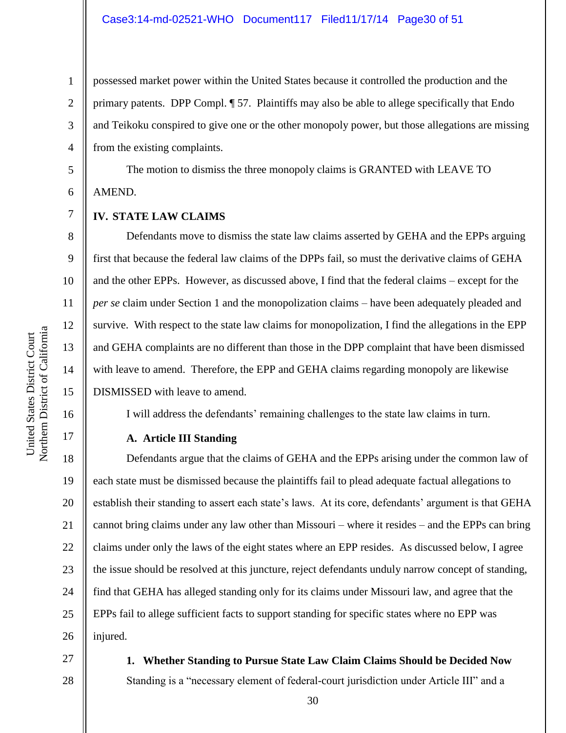possessed market power within the United States because it controlled the production and the primary patents. DPP Compl. ¶ 57. Plaintiffs may also be able to allege specifically that Endo and Teikoku conspired to give one or the other monopoly power, but those allegations are missing from the existing complaints.

The motion to dismiss the three monopoly claims is GRANTED with LEAVE TO AMEND.

#### **IV. STATE LAW CLAIMS**

Defendants move to dismiss the state law claims asserted by GEHA and the EPPs arguing first that because the federal law claims of the DPPs fail, so must the derivative claims of GEHA and the other EPPs. However, as discussed above, I find that the federal claims – except for the *per se* claim under Section 1 and the monopolization claims – have been adequately pleaded and survive. With respect to the state law claims for monopolization, I find the allegations in the EPP and GEHA complaints are no different than those in the DPP complaint that have been dismissed with leave to amend. Therefore, the EPP and GEHA claims regarding monopoly are likewise DISMISSED with leave to amend.

I will address the defendants' remaining challenges to the state law claims in turn.

#### **A. Article III Standing**

18 19 20 21 22 23 24 25 26 Defendants argue that the claims of GEHA and the EPPs arising under the common law of each state must be dismissed because the plaintiffs fail to plead adequate factual allegations to establish their standing to assert each state's laws. At its core, defendants' argument is that GEHA cannot bring claims under any law other than Missouri – where it resides – and the EPPs can bring claims under only the laws of the eight states where an EPP resides. As discussed below, I agree the issue should be resolved at this juncture, reject defendants unduly narrow concept of standing, find that GEHA has alleged standing only for its claims under Missouri law, and agree that the EPPs fail to allege sufficient facts to support standing for specific states where no EPP was injured.

27 28

**1. Whether Standing to Pursue State Law Claim Claims Should be Decided Now** Standing is a "necessary element of federal-court jurisdiction under Article III" and a

1

2

3

4

5

6

7

8

9

10

11

12

13

14

15

16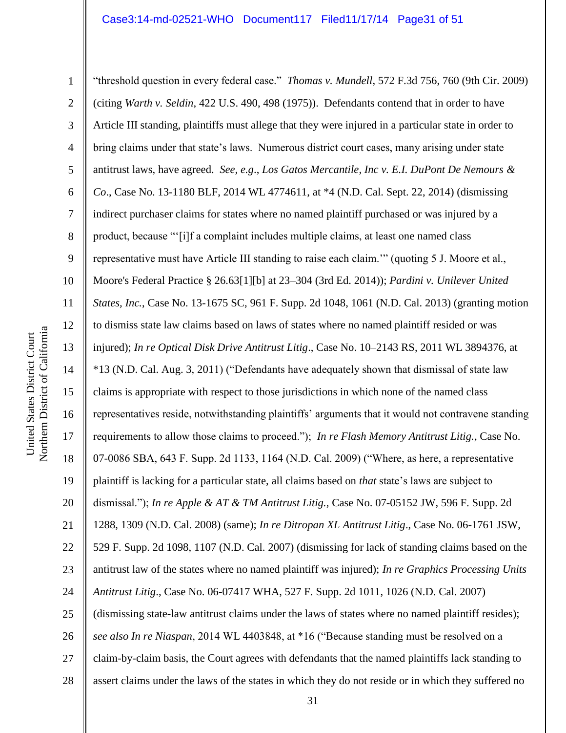1 2 3 4 5 6 7 8 9 10 11 12 13 14 15 16 17 18 19 20 21 22 23 24 25 26 27 28 "threshold question in every federal case." *Thomas v. Mundell*, 572 F.3d 756, 760 (9th Cir. 2009) (citing *Warth v. Seldin*, 422 U.S. 490, 498 (1975)). Defendants contend that in order to have Article III standing, plaintiffs must allege that they were injured in a particular state in order to bring claims under that state's laws. Numerous district court cases, many arising under state antitrust laws, have agreed. *See, e.g*., *Los Gatos Mercantile, Inc v. E.I. DuPont De Nemours & Co*., Case No. 13-1180 BLF, 2014 WL 4774611, at \*4 (N.D. Cal. Sept. 22, 2014) (dismissing indirect purchaser claims for states where no named plaintiff purchased or was injured by a product, because "'[i]f a complaint includes multiple claims, at least one named class representative must have Article III standing to raise each claim.'" (quoting 5 J. Moore et al., Moore's Federal Practice § 26.63[1][b] at 23–304 (3rd Ed. 2014)); *Pardini v. Unilever United States, Inc.*, Case No. 13-1675 SC, 961 F. Supp. 2d 1048, 1061 (N.D. Cal. 2013) (granting motion to dismiss state law claims based on laws of states where no named plaintiff resided or was injured); *In re Optical Disk Drive Antitrust Litig*., Case No. 10–2143 RS, 2011 WL 3894376, at \*13 (N.D. Cal. Aug. 3, 2011) ("Defendants have adequately shown that dismissal of state law claims is appropriate with respect to those jurisdictions in which none of the named class representatives reside, notwithstanding plaintiffs' arguments that it would not contravene standing requirements to allow those claims to proceed."); *In re Flash Memory Antitrust Litig.*, Case No. 07-0086 SBA, 643 F. Supp. 2d 1133, 1164 (N.D. Cal. 2009) ("Where, as here, a representative plaintiff is lacking for a particular state, all claims based on *that* state's laws are subject to dismissal."); *In re Apple & AT & TM Antitrust Litig.*, Case No. 07-05152 JW, 596 F. Supp. 2d 1288, 1309 (N.D. Cal. 2008) (same); *In re Ditropan XL Antitrust Litig*., Case No. 06-1761 JSW, 529 F. Supp. 2d 1098, 1107 (N.D. Cal. 2007) (dismissing for lack of standing claims based on the antitrust law of the states where no named plaintiff was injured); *In re Graphics Processing Units Antitrust Litig*., Case No. 06-07417 WHA, 527 F. Supp. 2d 1011, 1026 (N.D. Cal. 2007) (dismissing state-law antitrust claims under the laws of states where no named plaintiff resides); *see also In re Niaspan*, 2014 WL 4403848, at \*16 ("Because standing must be resolved on a claim-by-claim basis, the Court agrees with defendants that the named plaintiffs lack standing to assert claims under the laws of the states in which they do not reside or in which they suffered no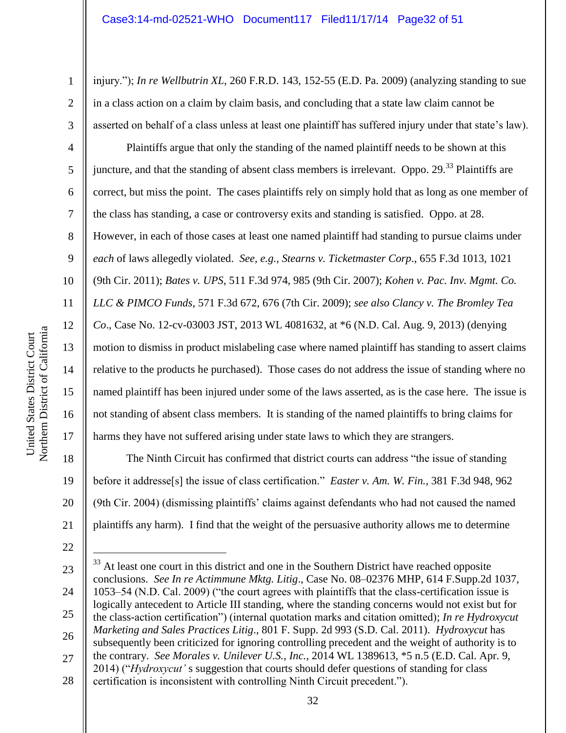injury."); *In re Wellbutrin XL*, 260 F.R.D. 143, 152-55 (E.D. Pa. 2009) (analyzing standing to sue in a class action on a claim by claim basis, and concluding that a state law claim cannot be asserted on behalf of a class unless at least one plaintiff has suffered injury under that state's law).

Plaintiffs argue that only the standing of the named plaintiff needs to be shown at this juncture, and that the standing of absent class members is irrelevant. Oppo. 29.<sup>33</sup> Plaintiffs are correct, but miss the point. The cases plaintiffs rely on simply hold that as long as one member of the class has standing, a case or controversy exits and standing is satisfied. Oppo. at 28. However, in each of those cases at least one named plaintiff had standing to pursue claims under *each* of laws allegedly violated. *See, e.g., Stearns v. Ticketmaster Corp*., 655 F.3d 1013, 1021 (9th Cir. 2011); *Bates v. UPS*, 511 F.3d 974, 985 (9th Cir. 2007); *Kohen v. Pac. Inv. Mgmt. Co. LLC & PIMCO Funds*, 571 F.3d 672, 676 (7th Cir. 2009); *see also Clancy v. The Bromley Tea Co*., Case No. 12-cv-03003 JST, 2013 WL 4081632, at \*6 (N.D. Cal. Aug. 9, 2013) (denying motion to dismiss in product mislabeling case where named plaintiff has standing to assert claims relative to the products he purchased). Those cases do not address the issue of standing where no named plaintiff has been injured under some of the laws asserted, as is the case here. The issue is not standing of absent class members. It is standing of the named plaintiffs to bring claims for harms they have not suffered arising under state laws to which they are strangers.

The Ninth Circuit has confirmed that district courts can address "the issue of standing before it addresse[s] the issue of class certification." *Easter v. Am. W. Fin.*, 381 F.3d 948, 962 (9th Cir. 2004) (dismissing plaintiffs' claims against defendants who had not caused the named plaintiffs any harm). I find that the weight of the persuasive authority allows me to determine

 $\overline{a}$ 

1

2

3

4

5

6

7

8

9

10

11

12

13

14

15

16

17

18

19

20

21

25

26

<sup>22</sup>

<sup>23</sup> 24

<sup>&</sup>lt;sup>33</sup> At least one court in this district and one in the Southern District have reached opposite conclusions. *See In re Actimmune Mktg. Litig*., Case No. 08–02376 MHP, 614 F.Supp.2d 1037, 1053–54 (N.D. Cal. 2009) ("the court agrees with plaintiffs that the class-certification issue is logically antecedent to Article III standing, where the standing concerns would not exist but for the class-action certification") (internal quotation marks and citation omitted); *In re Hydroxycut Marketing and Sales Practices Litig*., 801 F. Supp. 2d 993 (S.D. Cal. 2011). *Hydroxycut* has subsequently been criticized for ignoring controlling precedent and the weight of authority is to the contrary. *See Morales v. Unilever U.S., Inc.*, 2014 WL 1389613, \*5 n.5 (E.D. Cal. Apr. 9, 2014) ("*Hydroxycut'* s suggestion that courts should defer questions of standing for class

<sup>28</sup> certification is inconsistent with controlling Ninth Circuit precedent.").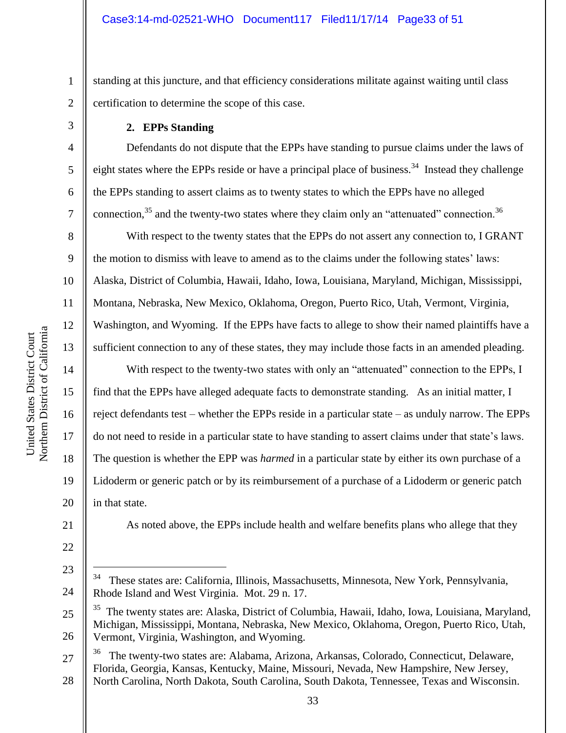standing at this juncture, and that efficiency considerations militate against waiting until class certification to determine the scope of this case.

#### **2. EPPs Standing**

Defendants do not dispute that the EPPs have standing to pursue claims under the laws of eight states where the EPPs reside or have a principal place of business.<sup>34</sup> Instead they challenge the EPPs standing to assert claims as to twenty states to which the EPPs have no alleged connection,<sup>35</sup> and the twenty-two states where they claim only an "attenuated" connection.<sup>36</sup>

With respect to the twenty states that the EPPs do not assert any connection to, I GRANT the motion to dismiss with leave to amend as to the claims under the following states' laws Alaska, District of Columbia, Hawaii, Idaho, Iowa, Louisiana, Maryland, Michigan, Mississippi, Montana, Nebraska, New Mexico, Oklahoma, Oregon, Puerto Rico, Utah, Vermont, Virginia, Washington, and Wyoming. If the EPPs have facts to allege to show their named plaintiffs have a sufficient connection to any of these states, they may include those facts in an amended pleading.

With respect to the twenty-two states with only an "attenuated" connection to the EPPs, I find that the EPPs have alleged adequate facts to demonstrate standing. As an initial matter, I reject defendants test – whether the EPPs reside in a particular state – as unduly narrow. The EPPs do not need to reside in a particular state to have standing to assert claims under that state's laws. The question is whether the EPP was *harmed* in a particular state by either its own purchase of a Lidoderm or generic patch or by its reimbursement of a purchase of a Lidoderm or generic patch in that state.

As noted above, the EPPs include health and welfare benefits plans who allege that they

1

2

3

4

5

6

7

8

9

10

11

12

13

14

15

16

17

18

19

20

21

22

23

 $\overline{a}$ 

<sup>24</sup> 34 These states are: California, Illinois, Massachusetts, Minnesota, New York, Pennsylvania, Rhode Island and West Virginia. Mot. 29 n. 17.

<sup>25</sup> 26 35 The twenty states are: Alaska, District of Columbia, Hawaii, Idaho, Iowa, Louisiana, Maryland, Michigan, Mississippi, Montana, Nebraska, New Mexico, Oklahoma, Oregon, Puerto Rico, Utah, Vermont, Virginia, Washington, and Wyoming.

<sup>27</sup> 36 The twenty-two states are: Alabama, Arizona, Arkansas, Colorado, Connecticut, Delaware, Florida, Georgia, Kansas, Kentucky, Maine, Missouri, Nevada, New Hampshire, New Jersey,

<sup>28</sup> North Carolina, North Dakota, South Carolina, South Dakota, Tennessee, Texas and Wisconsin.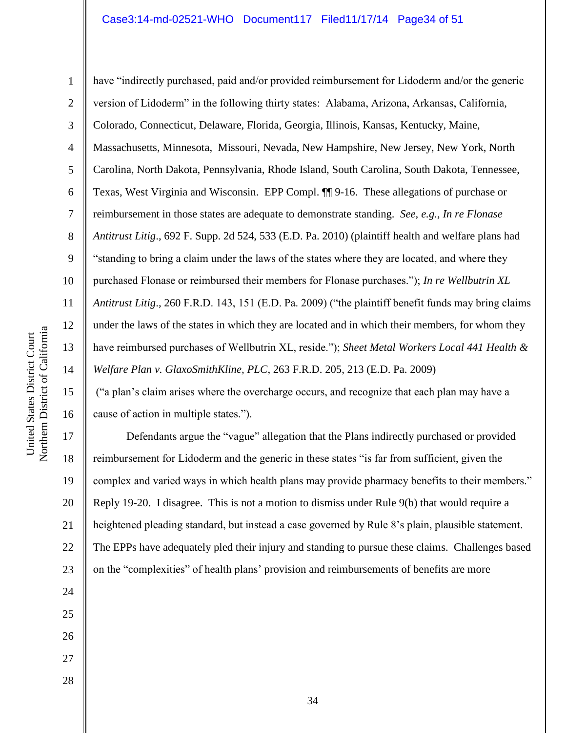Northern District of California Northern District of California United States District Court

United States District Court

16

17

18

19

20

21

22

23

24

25

26

27

1 2 3 4 5 6 7 8 9 10 11 12 13 14 15 have "indirectly purchased, paid and/or provided reimbursement for Lidoderm and/or the generic version of Lidoderm" in the following thirty states: Alabama, Arizona, Arkansas, California, Colorado, Connecticut, Delaware, Florida, Georgia, Illinois, Kansas, Kentucky, Maine, Massachusetts, Minnesota, Missouri, Nevada, New Hampshire, New Jersey, New York, North Carolina, North Dakota, Pennsylvania, Rhode Island, South Carolina, South Dakota, Tennessee, Texas, West Virginia and Wisconsin. EPP Compl. ¶¶ 9-16. These allegations of purchase or reimbursement in those states are adequate to demonstrate standing. *See, e.g., In re Flonase Antitrust Litig*., 692 F. Supp. 2d 524, 533 (E.D. Pa. 2010) (plaintiff health and welfare plans had "standing to bring a claim under the laws of the states where they are located, and where they purchased Flonase or reimbursed their members for Flonase purchases."); *In re Wellbutrin XL Antitrust Litig*., 260 F.R.D. 143, 151 (E.D. Pa. 2009) ("the plaintiff benefit funds may bring claims under the laws of the states in which they are located and in which their members, for whom they have reimbursed purchases of Wellbutrin XL, reside."); *Sheet Metal Workers Local 441 Health & Welfare Plan v. GlaxoSmithKline, PLC*, 263 F.R.D. 205, 213 (E.D. Pa. 2009)

("a plan's claim arises where the overcharge occurs, and recognize that each plan may have a cause of action in multiple states.").

Defendants argue the "vague" allegation that the Plans indirectly purchased or provided reimbursement for Lidoderm and the generic in these states "is far from sufficient, given the complex and varied ways in which health plans may provide pharmacy benefits to their members." Reply 19-20. I disagree. This is not a motion to dismiss under Rule 9(b) that would require a heightened pleading standard, but instead a case governed by Rule 8's plain, plausible statement. The EPPs have adequately pled their injury and standing to pursue these claims. Challenges based on the "complexities" of health plans' provision and reimbursements of benefits are more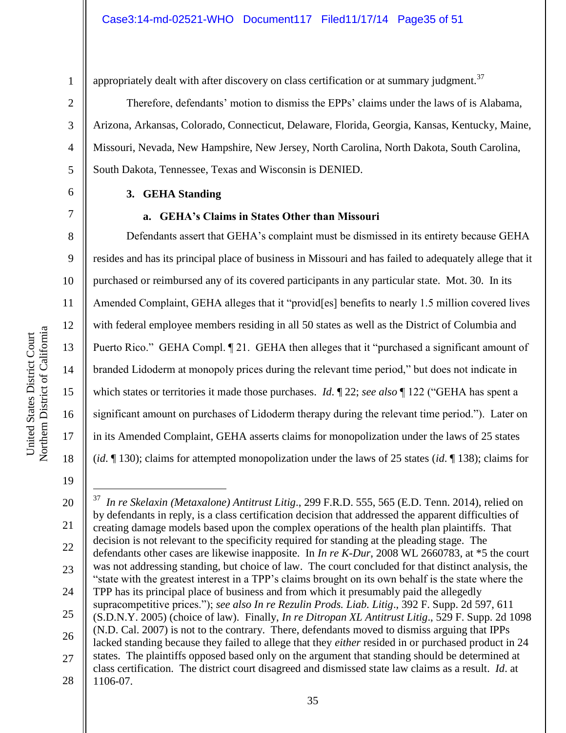7

8

9

11

13

15

17

18

1

appropriately dealt with after discovery on class certification or at summary judgment.<sup>37</sup>

Therefore, defendants' motion to dismiss the EPPs' claims under the laws of is Alabama, Arizona, Arkansas, Colorado, Connecticut, Delaware, Florida, Georgia, Kansas, Kentucky, Maine, Missouri, Nevada, New Hampshire, New Jersey, North Carolina, North Dakota, South Carolina, South Dakota, Tennessee, Texas and Wisconsin is DENIED.

### **3. GEHA Standing**

#### **a. GEHA's Claims in States Other than Missouri**

10 12 14 16 Defendants assert that GEHA's complaint must be dismissed in its entirety because GEHA resides and has its principal place of business in Missouri and has failed to adequately allege that it purchased or reimbursed any of its covered participants in any particular state. Mot. 30. In its Amended Complaint, GEHA alleges that it "provid[es] benefits to nearly 1.5 million covered lives with federal employee members residing in all 50 states as well as the District of Columbia and Puerto Rico." GEHA Compl. ¶ 21. GEHA then alleges that it "purchased a significant amount of branded Lidoderm at monopoly prices during the relevant time period," but does not indicate in which states or territories it made those purchases. *Id*. ¶ 22; *see also* ¶ 122 ("GEHA has spent a significant amount on purchases of Lidoderm therapy during the relevant time period."). Later on in its Amended Complaint, GEHA asserts claims for monopolization under the laws of 25 states (*id*. ¶ 130); claims for attempted monopolization under the laws of 25 states (*id*. ¶ 138); claims for

19

<sup>20</sup> 21 22 23 24 25 26 27 28  $\overline{a}$ 37 *In re Skelaxin (Metaxalone) Antitrust Litig*., 299 F.R.D. 555, 565 (E.D. Tenn. 2014), relied on by defendants in reply, is a class certification decision that addressed the apparent difficulties of creating damage models based upon the complex operations of the health plan plaintiffs. That decision is not relevant to the specificity required for standing at the pleading stage. The defendants other cases are likewise inapposite. In *In re K-Dur*, 2008 WL 2660783, at \*5 the court was not addressing standing, but choice of law. The court concluded for that distinct analysis, the "state with the greatest interest in a TPP's claims brought on its own behalf is the state where the TPP has its principal place of business and from which it presumably paid the allegedly supracompetitive prices."); *see also In re Rezulin Prods. Liab. Litig*., 392 F. Supp. 2d 597, 611 (S.D.N.Y. 2005) (choice of law). Finally, *In re Ditropan XL Antitrust Litig*., 529 F. Supp. 2d 1098 (N.D. Cal. 2007) is not to the contrary. There, defendants moved to dismiss arguing that IPPs lacked standing because they failed to allege that they *either* resided in or purchased product in 24 states. The plaintiffs opposed based only on the argument that standing should be determined at class certification. The district court disagreed and dismissed state law claims as a result. *Id*. at 1106-07.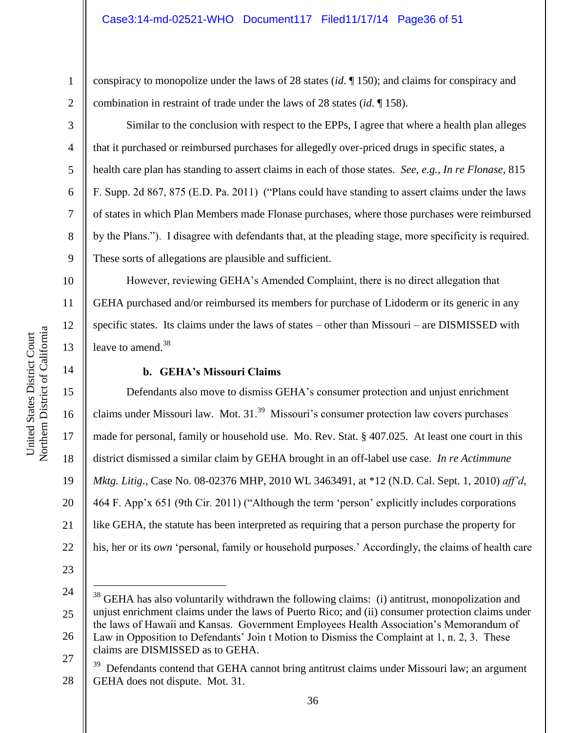conspiracy to monopolize under the laws of 28 states (*id*. ¶ 150); and claims for conspiracy and combination in restraint of trade under the laws of 28 states (*id*. ¶ 158).

Similar to the conclusion with respect to the EPPs, I agree that where a health plan alleges that it purchased or reimbursed purchases for allegedly over-priced drugs in specific states, a health care plan has standing to assert claims in each of those states. *See, e.g., In re Flonase*, 815 F. Supp. 2d 867, 875 (E.D. Pa. 2011) ("Plans could have standing to assert claims under the laws of states in which Plan Members made Flonase purchases, where those purchases were reimbursed by the Plans."). I disagree with defendants that, at the pleading stage, more specificity is required. These sorts of allegations are plausible and sufficient.

However, reviewing GEHA's Amended Complaint, there is no direct allegation that GEHA purchased and/or reimbursed its members for purchase of Lidoderm or its generic in any specific states. Its claims under the laws of states – other than Missouri – are DISMISSED with leave to amend.<sup>38</sup>

# **b. GEHA's Missouri Claims**

Defendants also move to dismiss GEHA's consumer protection and unjust enrichment claims under Missouri law. Mot. 31.<sup>39</sup> Missouri's consumer protection law covers purchases made for personal, family or household use. Mo. Rev. Stat. § 407.025. At least one court in this district dismissed a similar claim by GEHA brought in an off-label use case. *In re Actimmune Mktg. Litig*., Case No. 08-02376 MHP, 2010 WL 3463491, at \*12 (N.D. Cal. Sept. 1, 2010) *aff'd*, 464 F. App'x 651 (9th Cir. 2011) ("Although the term 'person' explicitly includes corporations like GEHA, the statute has been interpreted as requiring that a person purchase the property for his, her or its *own* 'personal, family or household purposes.' Accordingly, the claims of health care

- 22 23
- 24

 $\overline{a}$ 

```
27
claims are DISMISSED as to GEHA.
```
1

2

3

4

5

6

7

8

9

10

11

12

13

14

15

16

17

18

19

20

<sup>25</sup> 26 <sup>38</sup> GEHA has also voluntarily withdrawn the following claims: (i) antitrust, monopolization and unjust enrichment claims under the laws of Puerto Rico; and (ii) consumer protection claims under the laws of Hawaii and Kansas. Government Employees Health Association's Memorandum of Law in Opposition to Defendants' Join t Motion to Dismiss the Complaint at 1, n. 2, 3. These

<sup>28</sup> 39 Defendants contend that GEHA cannot bring antitrust claims under Missouri law; an argument GEHA does not dispute. Mot. 31.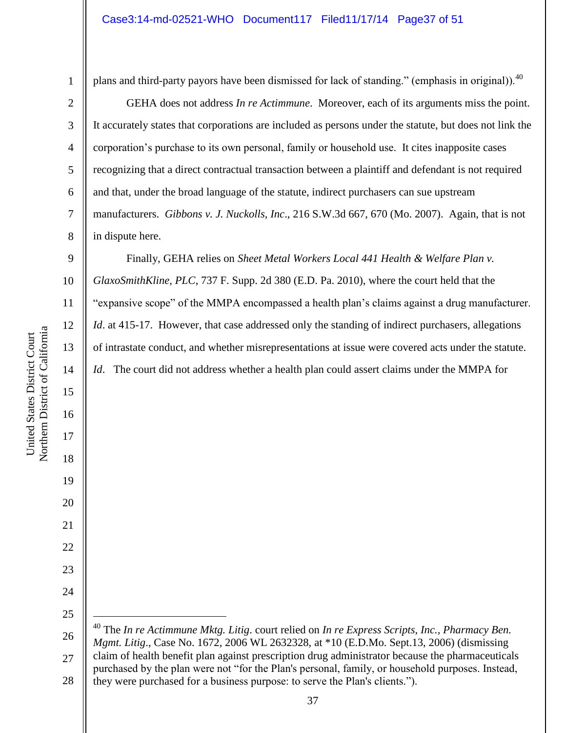4

5

6

7

8

plans and third-party payors have been dismissed for lack of standing." (emphasis in original)).<sup>40</sup>

 GEHA does not address *In re Actimmune*. Moreover, each of its arguments miss the point. It accurately states that corporations are included as persons under the statute, but does not link the corporation's purchase to its own personal, family or household use. It cites inapposite cases recognizing that a direct contractual transaction between a plaintiff and defendant is not required and that, under the broad language of the statute, indirect purchasers can sue upstream manufacturers. *Gibbons v. J. Nuckolls, Inc*., 216 S.W.3d 667, 670 (Mo. 2007). Again, that is not in dispute here.

9 10 11 12 13 14 Finally, GEHA relies on *Sheet Metal Workers Local 441 Health & Welfare Plan v. GlaxoSmithKline, PLC*, 737 F. Supp. 2d 380 (E.D. Pa. 2010), where the court held that the "expansive scope" of the MMPA encompassed a health plan's claims against a drug manufacturer. *Id.* at 415-17. However, that case addressed only the standing of indirect purchasers, allegations of intrastate conduct, and whether misrepresentations at issue were covered acts under the statute. *Id.* The court did not address whether a health plan could assert claims under the MMPA for

Northern District of California Northern District of California United States District Court United States District Court

15

16

17

18

19

20

21

22

23

24

<sup>26</sup> 27 28  $\overline{a}$ <sup>40</sup> The *In re Actimmune Mktg. Litig*. court relied on *In re Express Scripts, Inc., Pharmacy Ben. Mgmt. Litig*., Case No. 1672, 2006 WL 2632328, at \*10 (E.D.Mo. Sept.13, 2006) (dismissing claim of health benefit plan against prescription drug administrator because the pharmaceuticals purchased by the plan were not "for the Plan's personal, family, or household purposes. Instead, they were purchased for a business purpose: to serve the Plan's clients.").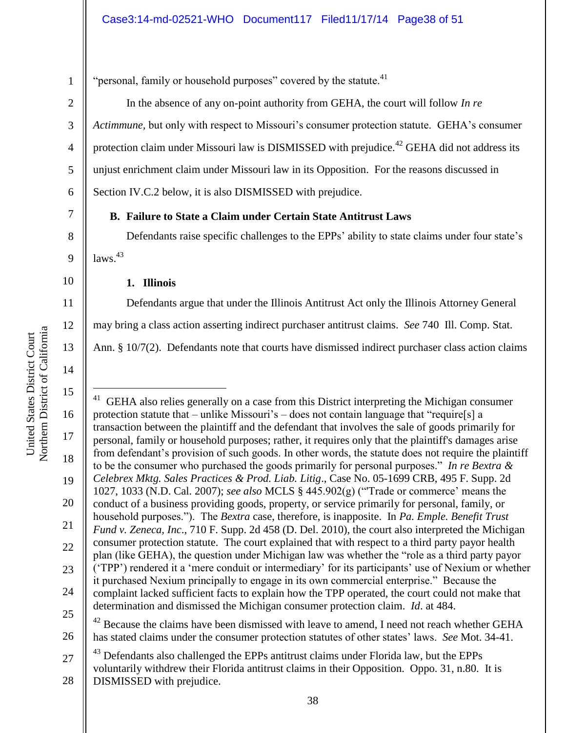"personal, family or household purposes" covered by the statute.<sup>41</sup>

In the absence of any on-point authority from GEHA, the court will follow *In re Actimmune,* but only with respect to Missouri's consumer protection statute. GEHA's consumer protection claim under Missouri law is DISMISSED with prejudice.<sup>42</sup> GEHA did not address its unjust enrichment claim under Missouri law in its Opposition. For the reasons discussed in Section IV.C.2 below, it is also DISMISSED with prejudice.

# **B. Failure to State a Claim under Certain State Antitrust Laws**

Defendants raise specific challenges to the EPPs' ability to state claims under four state's  $laws.<sup>43</sup>$ 

### **1. Illinois**

Defendants argue that under the Illinois Antitrust Act only the Illinois Attorney General may bring a class action asserting indirect purchaser antitrust claims. *See* 740 Ill. Comp. Stat.

Ann. § 10/7(2). Defendants note that courts have dismissed indirect purchaser class action claims

Northern District of California Northern District of California United States District Court United States District Court

1

2

3

4

5

6

7

8

9

10

11

12

13

14

15 16 17 18 19 20 21 22 23 24 25 26  $\overline{a}$ 41 GEHA also relies generally on a case from this District interpreting the Michigan consumer protection statute that – unlike Missouri's – does not contain language that "require[s] a transaction between the plaintiff and the defendant that involves the sale of goods primarily for personal, family or household purposes; rather, it requires only that the plaintiff's damages arise from defendant's provision of such goods. In other words, the statute does not require the plaintiff to be the consumer who purchased the goods primarily for personal purposes." *In re Bextra & Celebrex Mktg. Sales Practices & Prod. Liab. Litig*., Case No. 05-1699 CRB, 495 F. Supp. 2d 1027, 1033 (N.D. Cal. 2007); *see also* MCLS § 445.902(g) ("'Trade or commerce' means the conduct of a business providing goods, property, or service primarily for personal, family, or household purposes."). The *Bextra* case, therefore, is inapposite. In *Pa. Emple. Benefit Trust Fund v. Zeneca, Inc*., 710 F. Supp. 2d 458 (D. Del. 2010), the court also interpreted the Michigan consumer protection statute. The court explained that with respect to a third party payor health plan (like GEHA), the question under Michigan law was whether the "role as a third party payor ('TPP') rendered it a 'mere conduit or intermediary' for its participants' use of Nexium or whether it purchased Nexium principally to engage in its own commercial enterprise." Because the complaint lacked sufficient facts to explain how the TPP operated, the court could not make that determination and dismissed the Michigan consumer protection claim. *Id*. at 484.  $42$  Because the claims have been dismissed with leave to amend, I need not reach whether GEHA has stated claims under the consumer protection statutes of other states' laws. *See* Mot. 34-41. Defendants also challenged the EPPs antitrust claims under Florida law, but the EPPs

27 28 voluntarily withdrew their Florida antitrust claims in their Opposition. Oppo. 31, n.80. It is DISMISSED with prejudice.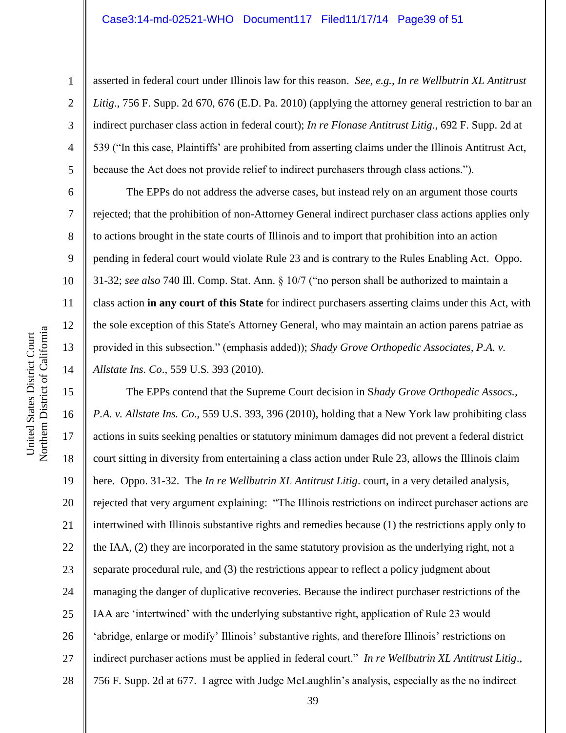6

7

8

9

10

11

12

13

14

1

asserted in federal court under Illinois law for this reason. *See, e.g., In re Wellbutrin XL Antitrust Litig*., 756 F. Supp. 2d 670, 676 (E.D. Pa. 2010) (applying the attorney general restriction to bar an indirect purchaser class action in federal court); *In re Flonase Antitrust Litig*., 692 F. Supp. 2d at 539 ("In this case, Plaintiffs' are prohibited from asserting claims under the Illinois Antitrust Act, because the Act does not provide relief to indirect purchasers through class actions.").

The EPPs do not address the adverse cases, but instead rely on an argument those courts rejected; that the prohibition of non-Attorney General indirect purchaser class actions applies only to actions brought in the state courts of Illinois and to import that prohibition into an action pending in federal court would violate Rule 23 and is contrary to the Rules Enabling Act. Oppo. 31-32; *see also* 740 Ill. Comp. Stat. Ann. § 10/7 ("no person shall be authorized to maintain a class action **in any court of this State** for indirect purchasers asserting claims under this Act, with the sole exception of this State's Attorney General, who may maintain an action parens patriae as provided in this subsection." (emphasis added)); *Shady Grove Orthopedic Associates, P.A. v. Allstate Ins. Co*., 559 U.S. 393 (2010).

15 16 17 18 19 20 21 22 23 24 25 26 27 28 The EPPs contend that the Supreme Court decision in S*hady Grove Orthopedic Assocs., P.A. v. Allstate Ins. Co*., 559 U.S. 393, 396 (2010), holding that a New York law prohibiting class actions in suits seeking penalties or statutory minimum damages did not prevent a federal district court sitting in diversity from entertaining a class action under Rule 23, allows the Illinois claim here. Oppo. 31-32. The *In re Wellbutrin XL Antitrust Litig*. court, in a very detailed analysis, rejected that very argument explaining: "The Illinois restrictions on indirect purchaser actions are intertwined with Illinois substantive rights and remedies because (1) the restrictions apply only to the IAA, (2) they are incorporated in the same statutory provision as the underlying right, not a separate procedural rule, and (3) the restrictions appear to reflect a policy judgment about managing the danger of duplicative recoveries. Because the indirect purchaser restrictions of the IAA are 'intertwined' with the underlying substantive right, application of Rule 23 would 'abridge, enlarge or modify' Illinois' substantive rights, and therefore Illinois' restrictions on indirect purchaser actions must be applied in federal court." *In re Wellbutrin XL Antitrust Litig*., 756 F. Supp. 2d at 677. I agree with Judge McLaughlin's analysis, especially as the no indirect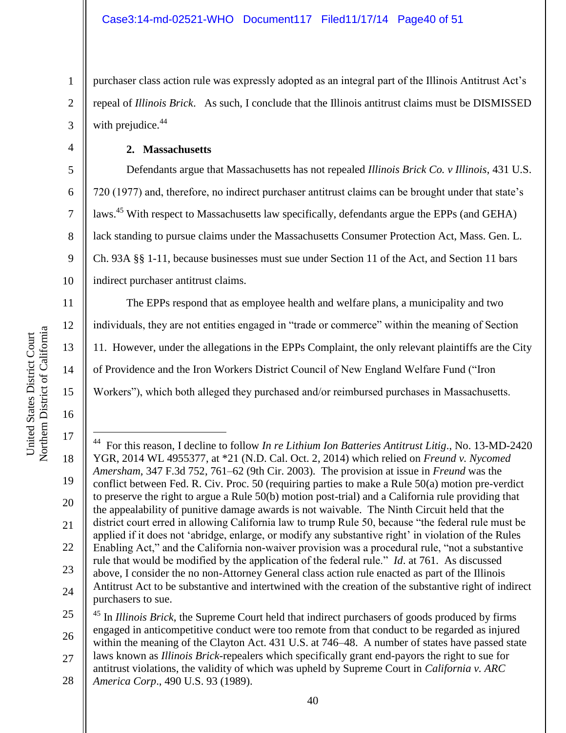purchaser class action rule was expressly adopted as an integral part of the Illinois Antitrust Act's repeal of *Illinois Brick*. As such, I conclude that the Illinois antitrust claims must be DISMISSED with prejudice.<sup>44</sup>

# **2. Massachusetts**

Defendants argue that Massachusetts has not repealed *Illinois Brick Co. v Illinois*, 431 U.S. 720 (1977) and, therefore, no indirect purchaser antitrust claims can be brought under that state's laws.<sup>45</sup> With respect to Massachusetts law specifically, defendants argue the EPPs (and GEHA) lack standing to pursue claims under the Massachusetts Consumer Protection Act, Mass. Gen. L. Ch. 93A §§ 1-11, because businesses must sue under Section 11 of the Act, and Section 11 bars indirect purchaser antitrust claims.

The EPPs respond that as employee health and welfare plans, a municipality and two individuals, they are not entities engaged in "trade or commerce" within the meaning of Section 11. However, under the allegations in the EPPs Complaint, the only relevant plaintiffs are the City of Providence and the Iron Workers District Council of New England Welfare Fund ("Iron Workers"), which both alleged they purchased and/or reimbursed purchases in Massachusetts.

1

2

3

4

5

6

7

8

9

10

11

12

13

14

15

<sup>17</sup> 18 19 20 21 22 23 24  $\overline{a}$ 44 For this reason, I decline to follow *In re Lithium Ion Batteries Antitrust Litig*., No. 13-MD-2420 YGR, 2014 WL 4955377, at \*21 (N.D. Cal. Oct. 2, 2014) which relied on *Freund v. Nycomed Amersham*, 347 F.3d 752, 761–62 (9th Cir. 2003). The provision at issue in *Freund* was the conflict between Fed. R. Civ. Proc. 50 (requiring parties to make a Rule 50(a) motion pre-verdict to preserve the right to argue a Rule 50(b) motion post-trial) and a California rule providing that the appealability of punitive damage awards is not waivable. The Ninth Circuit held that the district court erred in allowing California law to trump Rule 50, because "the federal rule must be applied if it does not 'abridge, enlarge, or modify any substantive right' in violation of the Rules Enabling Act," and the California non-waiver provision was a procedural rule, "not a substantive rule that would be modified by the application of the federal rule." *Id*. at 761. As discussed above, I consider the no non-Attorney General class action rule enacted as part of the Illinois Antitrust Act to be substantive and intertwined with the creation of the substantive right of indirect purchasers to sue.

<sup>25</sup> 26 27 <sup>45</sup> In *Illinois Brick*, the Supreme Court held that indirect purchasers of goods produced by firms engaged in anticompetitive conduct were too remote from that conduct to be regarded as injured within the meaning of the Clayton Act. 431 U.S. at 746–48. A number of states have passed state laws known as *Illinois Brick*-repealers which specifically grant end-payors the right to sue for antitrust violations, the validity of which was upheld by Supreme Court in *California v. ARC* 

<sup>28</sup> *America Corp*., 490 U.S. 93 (1989).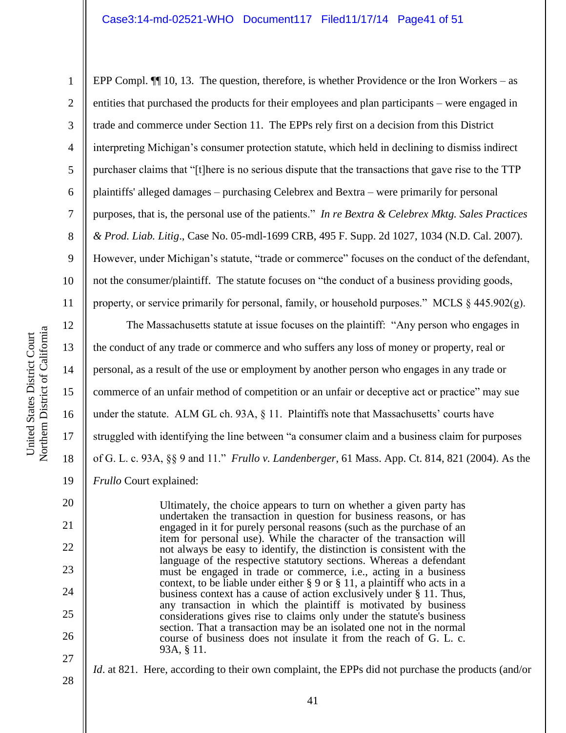### Case3:14-md-02521-WHO Document117 Filed11/17/14 Page41 of 51

EPP Compl.  $\P$  10, 13. The question, therefore, is whether Providence or the Iron Workers – as

2 3 4 5 6 7 8 9 10 11 12 13 entities that purchased the products for their employees and plan participants – were engaged in trade and commerce under Section 11. The EPPs rely first on a decision from this District interpreting Michigan's consumer protection statute, which held in declining to dismiss indirect purchaser claims that "[t]here is no serious dispute that the transactions that gave rise to the TTP plaintiffs' alleged damages – purchasing Celebrex and Bextra – were primarily for personal purposes, that is, the personal use of the patients." *In re Bextra & Celebrex Mktg. Sales Practices & Prod. Liab. Litig*., Case No. 05-mdl-1699 CRB, 495 F. Supp. 2d 1027, 1034 (N.D. Cal. 2007). However, under Michigan's statute, "trade or commerce" focuses on the conduct of the defendant, not the consumer/plaintiff. The statute focuses on "the conduct of a business providing goods, property, or service primarily for personal, family, or household purposes." MCLS  $\S$  445.902(g). The Massachusetts statute at issue focuses on the plaintiff: "Any person who engages in

the conduct of any trade or commerce and who suffers any loss of money or property, real or personal, as a result of the use or employment by another person who engages in any trade or commerce of an unfair method of competition or an unfair or deceptive act or practice" may sue under the statute. ALM GL ch. 93A, § 11. Plaintiffs note that Massachusetts' courts have struggled with identifying the line between "a consumer claim and a business claim for purposes of G. L. c. 93A, §§ 9 and 11." *Frullo v. Landenberger*, 61 Mass. App. Ct. 814, 821 (2004). As the *Frullo* Court explained:

Ultimately, the choice appears to turn on whether a given party has undertaken the transaction in question for business reasons, or has engaged in it for purely personal reasons (such as the purchase of an item for personal use). While the character of the transaction will not always be easy to identify, the distinction is consistent with the language of the respective statutory sections. Whereas a defendant must be engaged in trade or commerce, i.e., acting in a business context, to be liable under either § 9 or § 11, a plaintiff who acts in a business context has a cause of action exclusively under § 11. Thus, any transaction in which the plaintiff is motivated by business considerations gives rise to claims only under the statute's business section. That a transaction may be an isolated one not in the normal course of business does not insulate it from the reach of G. L. c. 93A, § 11.

- 28
- *Id.* at 821. Here, according to their own complaint, the EPPs did not purchase the products (and/or

14

15

16

17

18

19

20

21

22

23

24

25

26

27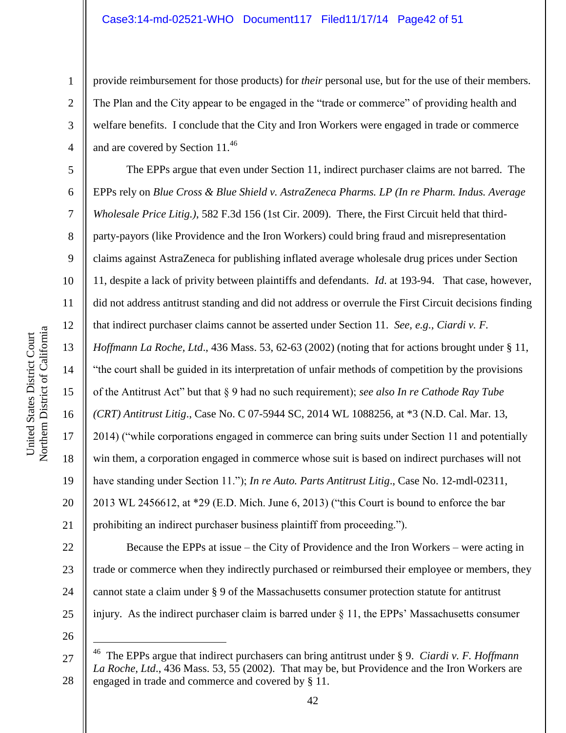provide reimbursement for those products) for *their* personal use, but for the use of their members. The Plan and the City appear to be engaged in the "trade or commerce" of providing health and welfare benefits. I conclude that the City and Iron Workers were engaged in trade or commerce and are covered by Section 11.<sup>46</sup>

The EPPs argue that even under Section 11, indirect purchaser claims are not barred. The EPPs rely on *Blue Cross & Blue Shield v. AstraZeneca Pharms. LP (In re Pharm. Indus. Average Wholesale Price Litig.)*, 582 F.3d 156 (1st Cir. 2009). There, the First Circuit held that thirdparty-payors (like Providence and the Iron Workers) could bring fraud and misrepresentation claims against AstraZeneca for publishing inflated average wholesale drug prices under Section 11, despite a lack of privity between plaintiffs and defendants. *Id*. at 193-94. That case, however, did not address antitrust standing and did not address or overrule the First Circuit decisions finding that indirect purchaser claims cannot be asserted under Section 11. *See, e.g., Ciardi v. F. Hoffmann La Roche, Ltd*., 436 Mass. 53, 62-63 (2002) (noting that for actions brought under § 11, "the court shall be guided in its interpretation of unfair methods of competition by the provisions of the Antitrust Act" but that § 9 had no such requirement); *see also In re Cathode Ray Tube (CRT) Antitrust Litig*., Case No. C 07-5944 SC, 2014 WL 1088256, at \*3 (N.D. Cal. Mar. 13, 2014) ("while corporations engaged in commerce can bring suits under Section 11 and potentially win them, a corporation engaged in commerce whose suit is based on indirect purchases will not have standing under Section 11."); *In re Auto. Parts Antitrust Litig*., Case No. 12-mdl-02311, 2013 WL 2456612, at \*29 (E.D. Mich. June 6, 2013) ("this Court is bound to enforce the bar prohibiting an indirect purchaser business plaintiff from proceeding.").

22 23 24 25 Because the EPPs at issue – the City of Providence and the Iron Workers – were acting in trade or commerce when they indirectly purchased or reimbursed their employee or members, they cannot state a claim under § 9 of the Massachusetts consumer protection statute for antitrust injury. As the indirect purchaser claim is barred under § 11, the EPPs' Massachusetts consumer

26

 $\overline{a}$ 

1

2

3

4

5

6

7

8

9

10

11

12

13

14

15

16

17

18

19

20

<sup>27</sup> 28 46 The EPPs argue that indirect purchasers can bring antitrust under § 9. *Ciardi v. F. Hoffmann La Roche, Ltd*., 436 Mass. 53, 55 (2002). That may be, but Providence and the Iron Workers are engaged in trade and commerce and covered by § 11.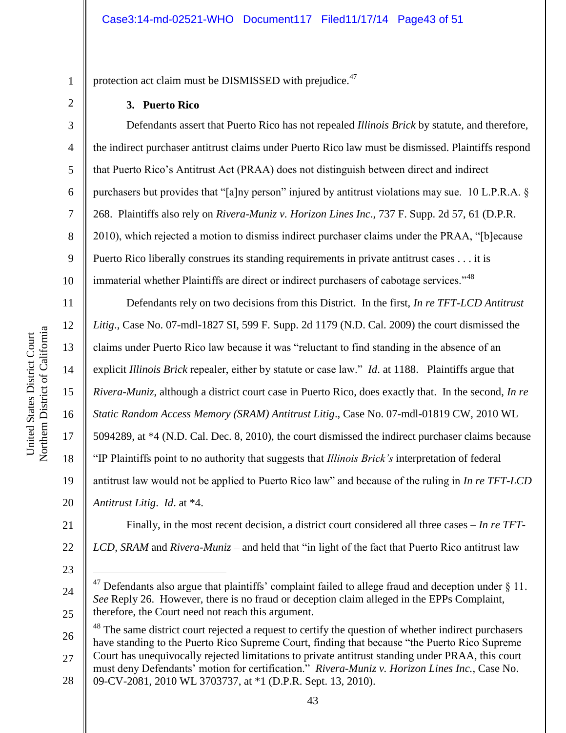protection act claim must be DISMISSED with prejudice.<sup>47</sup>

#### **3. Puerto Rico**

Defendants assert that Puerto Rico has not repealed *Illinois Brick* by statute, and therefore, the indirect purchaser antitrust claims under Puerto Rico law must be dismissed. Plaintiffs respond that Puerto Rico's Antitrust Act (PRAA) does not distinguish between direct and indirect purchasers but provides that "[a]ny person" injured by antitrust violations may sue. 10 L.P.R.A.  $\S$ 268. Plaintiffs also rely on *Rivera-Muniz v. Horizon Lines Inc*., 737 F. Supp. 2d 57, 61 (D.P.R. 2010), which rejected a motion to dismiss indirect purchaser claims under the PRAA, "[b]ecause Puerto Rico liberally construes its standing requirements in private antitrust cases . . . it is immaterial whether Plaintiffs are direct or indirect purchasers of cabotage services."<sup>48</sup>

Defendants rely on two decisions from this District. In the first, *In re TFT-LCD Antitrust Litig*., Case No. 07-mdl-1827 SI, 599 F. Supp. 2d 1179 (N.D. Cal. 2009) the court dismissed the claims under Puerto Rico law because it was "reluctant to find standing in the absence of an explicit *Illinois Brick* repealer, either by statute or case law." *Id*. at 1188. Plaintiffs argue that *Rivera-Muniz*, although a district court case in Puerto Rico, does exactly that. In the second, *In re Static Random Access Memory (SRAM) Antitrust Litig*., Case No. 07-mdl-01819 CW, 2010 WL 5094289, at \*4 (N.D. Cal. Dec. 8, 2010), the court dismissed the indirect purchaser claims because "IP Plaintiffs point to no authority that suggests that *Illinois Brick's* interpretation of federal antitrust law would not be applied to Puerto Rico law" and because of the ruling in *In re TFT-LCD Antitrust Litig*. *Id*. at \*4.

21 22 Finally, in the most recent decision, a district court considered all three cases – *In re TFT-LCD*, *SRAM* and *Rivera-Muniz* – and held that "in light of the fact that Puerto Rico antitrust law

23

 $\overline{a}$ 

1

2

3

4

5

6

7

8

9

10

11

12

13

14

15

16

17

18

19

20

24

25

26 27  $48$  The same district court rejected a request to certify the question of whether indirect purchasers have standing to the Puerto Rico Supreme Court, finding that because "the Puerto Rico Supreme" Court has unequivocally rejected limitations to private antitrust standing under PRAA, this court must deny Defendants' motion for certification." *Rivera-Muniz v. Horizon Lines Inc.*, Case No.

28 09-CV-2081, 2010 WL 3703737, at \*1 (D.P.R. Sept. 13, 2010).

 $47$  Defendants also argue that plaintiffs' complaint failed to allege fraud and deception under § 11. *See* Reply 26. However, there is no fraud or deception claim alleged in the EPPs Complaint, therefore, the Court need not reach this argument.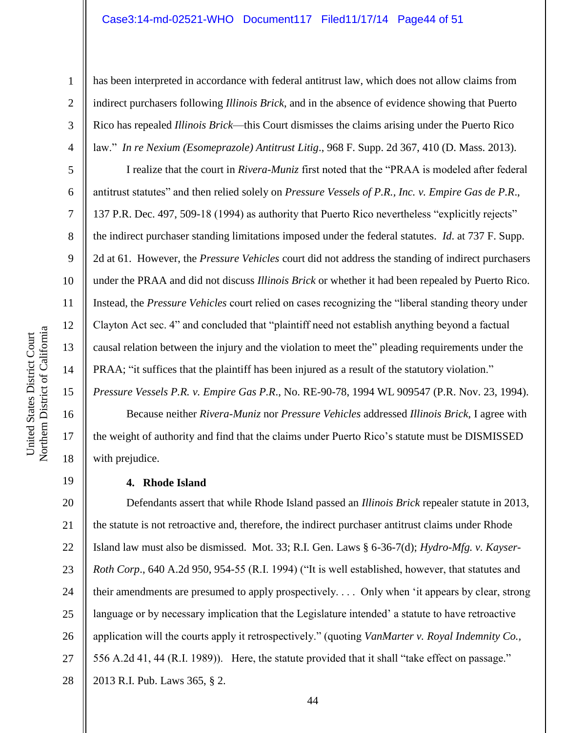#### Case3:14-md-02521-WHO Document117 Filed11/17/14 Page44 of 51

has been interpreted in accordance with federal antitrust law, which does not allow claims from indirect purchasers following *Illinois Brick*, and in the absence of evidence showing that Puerto Rico has repealed *Illinois Brick*—this Court dismisses the claims arising under the Puerto Rico law." *In re Nexium (Esomeprazole) Antitrust Litig*., 968 F. Supp. 2d 367, 410 (D. Mass. 2013).

I realize that the court in *Rivera-Muniz* first noted that the "P AA is modeled after federal antitrust statutes" and then relied solely on *Pressure Vessels of P.R., Inc. v. Empire Gas de P.R*., 137 P.R. Dec. 497, 509-18 (1994) as authority that Puerto Rico nevertheless "explicitly rejects" the indirect purchaser standing limitations imposed under the federal statutes. *Id*. at 737 F. Supp. 2d at 61. However, the *Pressure Vehicles* court did not address the standing of indirect purchasers under the PRAA and did not discuss *Illinois Brick* or whether it had been repealed by Puerto Rico. Instead, the *Pressure Vehicles* court relied on cases recognizing the "liberal standing theory under Clayton Act sec. 4" and concluded that "plaintiff need not establish anything beyond a factual causal relation between the injury and the violation to meet the" pleading requirements under the PRAA; "it suffices that the plaintiff has been injured as a result of the statutory violation." *Pressure Vessels P.R. v. Empire Gas P.R*., No. RE-90-78, 1994 WL 909547 (P.R. Nov. 23, 1994).

Because neither *Rivera-Muniz* nor *Pressure Vehicles* addressed *Illinois Brick*, I agree with the weight of authority and find that the claims under Puerto Rico's statute must be DISMISSED with prejudice.

#### **4. Rhode Island**

20 21 22 23 24 25 26 27 28 Defendants assert that while Rhode Island passed an *Illinois Brick* repealer statute in 2013, the statute is not retroactive and, therefore, the indirect purchaser antitrust claims under Rhode Island law must also be dismissed. Mot. 33; R.I. Gen. Laws § 6-36-7(d); *Hydro-Mfg. v. Kayser-Roth Corp.*, 640 A.2d 950, 954-55 (R.I. 1994) ("It is well established, however, that statutes and their amendments are presumed to apply prospectively. . . . Only when 'it appears by clear, strong language or by necessary implication that the Legislature intended' a statute to have retroactive application will the courts apply it retrospectively." (quoting *VanMarter v. Royal Indemnity Co.,* 556 A.2d 41, 44 (R.I. 1989)). Here, the statute provided that it shall "take effect on passage." 2013 R.I. Pub. Laws 365, § 2.

1

2

3

4

5

6

7

8

9

10

11

12

13

14

15

16

17

18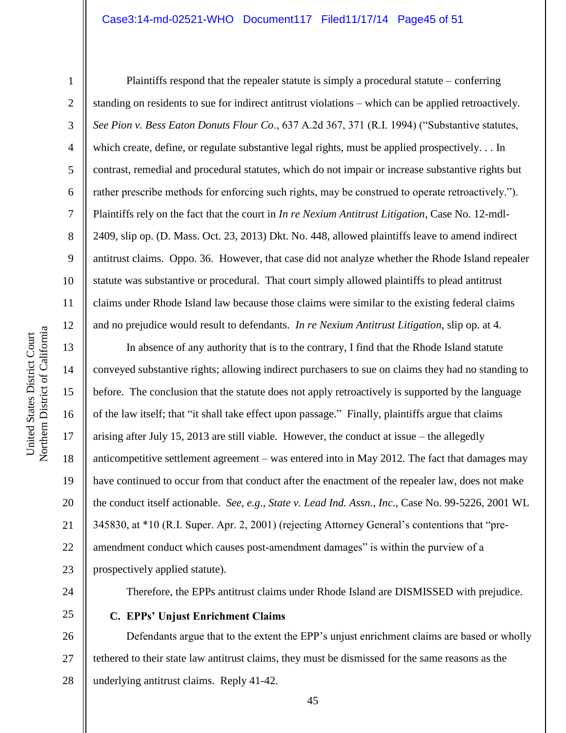2

3

4

5

6

7

8

9

10

11

12

Plaintiffs respond that the repealer statute is simply a procedural statute – conferring standing on residents to sue for indirect antitrust violations – which can be applied retroactively. *See Pion v. Bess Eaton Donuts Flour Co.*, 637 A.2d 367, 371 (R.I. 1994) ("Substantive statutes, which create, define, or regulate substantive legal rights, must be applied prospectively. . . In contrast, remedial and procedural statutes, which do not impair or increase substantive rights but rather prescribe methods for enforcing such rights, may be construed to operate retroactively."). Plaintiffs rely on the fact that the court in *In re Nexium Antitrust Litigation*, Case No. 12-mdl-2409, slip op. (D. Mass. Oct. 23, 2013) Dkt. No. 448, allowed plaintiffs leave to amend indirect antitrust claims. Oppo. 36. However, that case did not analyze whether the Rhode Island repealer statute was substantive or procedural. That court simply allowed plaintiffs to plead antitrust claims under Rhode Island law because those claims were similar to the existing federal claims and no prejudice would result to defendants. *In re Nexium Antitrust Litigation*, slip op. at 4.

13 14 15 16 17 18 19 20 21 22 23 In absence of any authority that is to the contrary, I find that the Rhode Island statute conveyed substantive rights; allowing indirect purchasers to sue on claims they had no standing to before. The conclusion that the statute does not apply retroactively is supported by the language of the law itself; that "it shall take effect upon passage." Finally, plaintiffs argue that claims arising after July 15, 2013 are still viable. However, the conduct at issue – the allegedly anticompetitive settlement agreement – was entered into in May 2012. The fact that damages may have continued to occur from that conduct after the enactment of the repealer law, does not make the conduct itself actionable. *See, e.g., State v. Lead Ind. Assn., Inc*., Case No. 99-5226, 2001 WL 345830, at  $*10$  (R.I. Super. Apr. 2, 2001) (rejecting Attorney General's contentions that "preamendment conduct which causes post-amendment damages" is within the purview of a prospectively applied statute).

- 24
- 25

Therefore, the EPPs antitrust claims under Rhode Island are DISMISSED with prejudice.

**C. EPPs' Unjust Enrichment Claims**

26 27 28 Defendants argue that to the extent the EPP's unjust enrichment claims are based or wholly tethered to their state law antitrust claims, they must be dismissed for the same reasons as the underlying antitrust claims. Reply 41-42.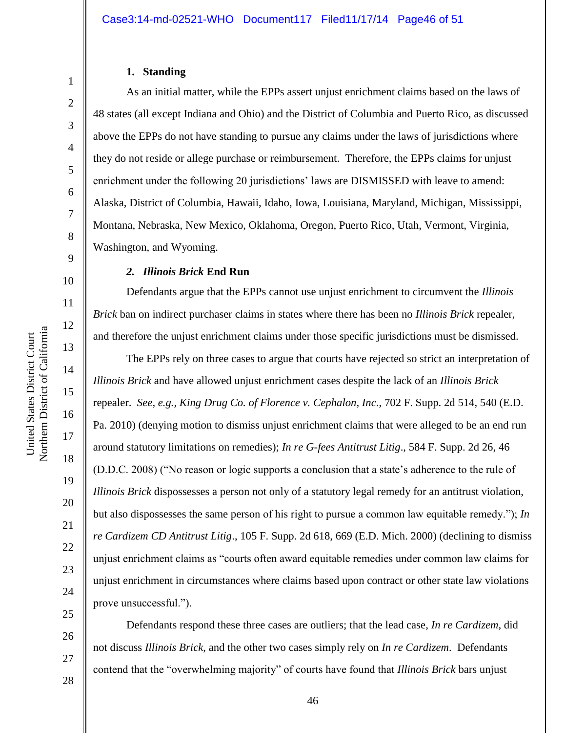# **1. Standing**

1

2

3

4

5

6

7

8

9

10

11

12

13

14

15

16

17

18

As an initial matter, while the EPPs assert unjust enrichment claims based on the laws of 48 states (all except Indiana and Ohio) and the District of Columbia and Puerto Rico, as discussed above the EPPs do not have standing to pursue any claims under the laws of jurisdictions where they do not reside or allege purchase or reimbursement. Therefore, the EPPs claims for unjust enrichment under the following 20 jurisdictions' laws are DISMISSED with leave to amend: Alaska, District of Columbia, Hawaii, Idaho, Iowa, Louisiana, Maryland, Michigan, Mississippi, Montana, Nebraska, New Mexico, Oklahoma, Oregon, Puerto Rico, Utah, Vermont, Virginia, Washington, and Wyoming.

#### *2. Illinois Brick* **End Run**

Defendants argue that the EPPs cannot use unjust enrichment to circumvent the *Illinois Brick* ban on indirect purchaser claims in states where there has been no *Illinois Brick* repealer, and therefore the unjust enrichment claims under those specific jurisdictions must be dismissed.

The EPPs rely on three cases to argue that courts have rejected so strict an interpretation of *Illinois Brick* and have allowed unjust enrichment cases despite the lack of an *Illinois Brick* repealer. *See, e.g., King Drug Co. of Florence v. Cephalon, Inc*., 702 F. Supp. 2d 514, 540 (E.D. Pa. 2010) (denying motion to dismiss unjust enrichment claims that were alleged to be an end run around statutory limitations on remedies); *In re G-fees Antitrust Litig*., 584 F. Supp. 2d 26, 46 (D.D.C. 2008) ("No reason or logic supports a conclusion that a state's adherence to the rule of *Illinois Brick* dispossesses a person not only of a statutory legal remedy for an antitrust violation, but also dispossesses the same person of his right to pursue a common law equitable remedy."); *In re Cardizem CD Antitrust Litig*., 105 F. Supp. 2d 618, 669 (E.D. Mich. 2000) (declining to dismiss unjust enrichment claims as "courts often award equitable remedies under common law claims for unjust enrichment in circumstances where claims based upon contract or other state law violations prove unsuccessful.").

Defendants respond these three cases are outliers; that the lead case, *In re Cardizem*, did not discuss *Illinois Brick*, and the other two cases simply rely on *In re Cardizem*. Defendants contend that the "overwhelming majority" of courts have found that *Illinois Brick* bars unjust

26

27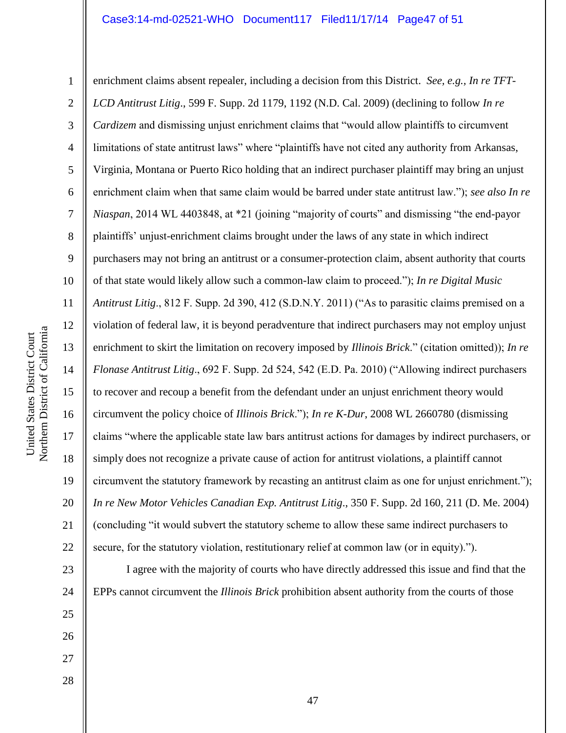Northern District of California Northern District of California United States District Court United States District Court

23

24

25

26

27

28

1 2 3 4 5 6 7 8 9 10 11 12 13 14 15 16 17 18 19 20 21 22 enrichment claims absent repealer, including a decision from this District. *See, e.g., In re TFT-LCD Antitrust Litig*., 599 F. Supp. 2d 1179, 1192 (N.D. Cal. 2009) (declining to follow *In re Cardizem* and dismissing unjust enrichment claims that "would allow plaintiffs to circumvent limitations of state antitrust laws" where "plaintiffs have not cited any authority from Arkansas, Virginia, Montana or Puerto Rico holding that an indirect purchaser plaintiff may bring an unjust enrichment claim when that same claim would be barred under state antitrust law."); *see also In re Niaspan*, 2014 WL 4403848, at \*21 (joining "majority of courts" and dismissing "the end-payor plaintiffs' unjust-enrichment claims brought under the laws of any state in which indirect purchasers may not bring an antitrust or a consumer-protection claim, absent authority that courts of that state would likely allow such a common-law claim to proceed."); *In re Digital Music Antitrust Litig*., 812 F. Supp. 2d 390, 412 (S.D.N.Y. 2011) ("As to parasitic claims premised on a violation of federal law, it is beyond peradventure that indirect purchasers may not employ unjust enrichment to skirt the limitation on recovery imposed by *Illinois Brick*." (citation omitted)); *In re Flonase Antitrust Litig*., 692 F. Supp. 2d 524, 542 (E.D. Pa. 2010) ("Allowing indirect purchasers to recover and recoup a benefit from the defendant under an unjust enrichment theory would circumvent the policy choice of *Illinois Brick*."); *In re K-Dur*, 2008 WL 2660780 (dismissing claims "where the applicable state law bars antitrust actions for damages by indirect purchasers, or simply does not recognize a private cause of action for antitrust violations, a plaintiff cannot circumvent the statutory framework by recasting an antitrust claim as one for unjust enrichment."); *In re New Motor Vehicles Canadian Exp. Antitrust Litig*., 350 F. Supp. 2d 160, 211 (D. Me. 2004) (concluding "it would subvert the statutory scheme to allow these same indirect purchasers to secure, for the statutory violation, restitutionary relief at common law (or in equity).").

I agree with the majority of courts who have directly addressed this issue and find that the EPPs cannot circumvent the *Illinois Brick* prohibition absent authority from the courts of those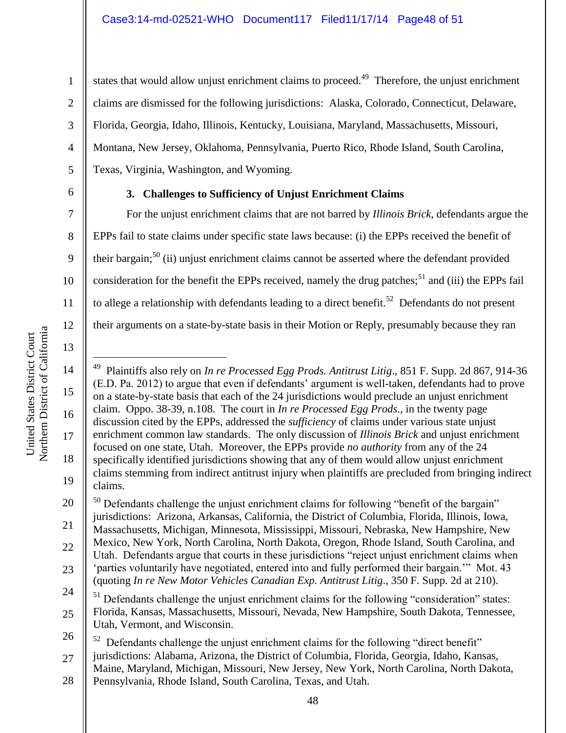states that would allow unjust enrichment claims to proceed.<sup>49</sup> Therefore, the unjust enrichment claims are dismissed for the following jurisdictions: Alaska, Colorado, Connecticut, Delaware, Florida, Georgia, Idaho, Illinois, Kentucky, Louisiana, Maryland, Massachusetts, Missouri, Montana, New Jersey, Oklahoma, Pennsylvania, Puerto Rico, Rhode Island, South Carolina, Texas, Virginia, Washington, and Wyoming.

6

1

2

3

4

5

7

8

9

10

11

12

13

# **3. Challenges to Sufficiency of Unjust Enrichment Claims**

For the unjust enrichment claims that are not barred by *Illinois Brick*, defendants argue the EPPs fail to state claims under specific state laws because: (i) the EPPs received the benefit of their bargain;<sup>50</sup> (ii) unjust enrichment claims cannot be asserted where the defendant provided consideration for the benefit the EPPs received, namely the drug patches;<sup>51</sup> and (iii) the EPPs fail to allege a relationship with defendants leading to a direct benefit.<sup>52</sup> Defendants do not present their arguments on a state-by-state basis in their Motion or Reply, presumably because they ran

Northern District of California Northern District of California United States District Court United States District Court

20 21 22 23 24 <sup>50</sup> Defendants challenge the unjust enrichment claims for following "benefit of the bargain" jurisdictions: Arizona, Arkansas, California, the District of Columbia, Florida, Illinois, Iowa, Massachusetts, Michigan, Minnesota, Mississippi, Missouri, Nebraska, New Hampshire, New Mexico, New York, North Carolina, North Dakota, Oregon, Rhode Island, South Carolina, and Utah. Defendants argue that courts in these jurisdictions "reject unjust enrichment claims when 'parties voluntarily have negotiated, entered into and fully performed their bargain.'" Mot. 43 (quoting *In re New Motor Vehicles Canadian Exp. Antitrust Litig*., 350 F. Supp. 2d at 210).

25  $51$  Defendants challenge the unjust enrichment claims for the following "consideration" states: Florida, Kansas, Massachusetts, Missouri, Nevada, New Hampshire, South Dakota, Tennessee, Utah, Vermont, and Wisconsin.

26 27  $52$  Defendants challenge the unjust enrichment claims for the following "direct benefit" jurisdictions: Alabama, Arizona, the District of Columbia, Florida, Georgia, Idaho, Kansas, Maine, Maryland, Michigan, Missouri, New Jersey, New York, North Carolina, North Dakota,

28 Pennsylvania, Rhode Island, South Carolina, Texas, and Utah.

<sup>14</sup> 15 16 17 18 19  $\overline{a}$ 49 Plaintiffs also rely on *In re Processed Egg Prods. Antitrust Litig*., 851 F. Supp. 2d 867, 914-36 (E.D. Pa. 2012) to argue that even if defendants' argument is well-taken, defendants had to prove on a state-by-state basis that each of the 24 jurisdictions would preclude an unjust enrichment claim. Oppo. 38-39, n.108. The court in *In re Processed Egg Prods*., in the twenty page discussion cited by the EPPs, addressed the *sufficiency* of claims under various state unjust enrichment common law standards. The only discussion of *Illinois Brick* and unjust enrichment focused on one state, Utah. Moreover, the EPPs provide *no authority* from any of the 24 specifically identified jurisdictions showing that any of them would allow unjust enrichment claims stemming from indirect antitrust injury when plaintiffs are precluded from bringing indirect claims.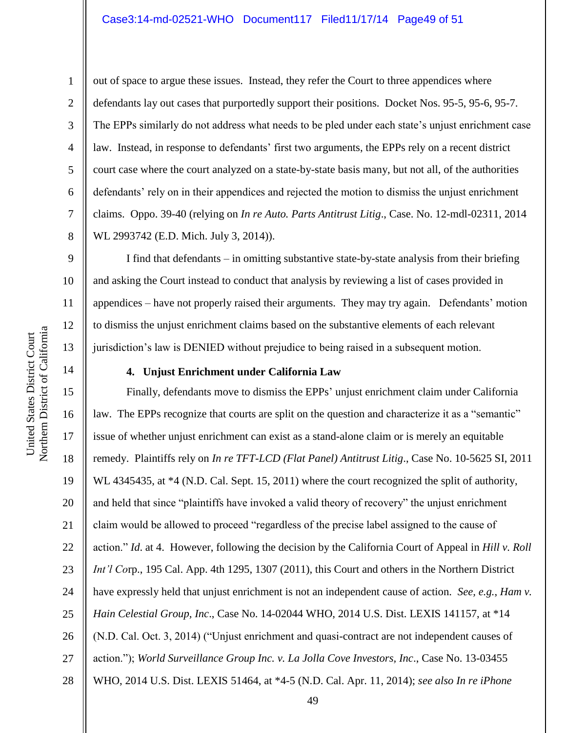1

out of space to argue these issues. Instead, they refer the Court to three appendices where defendants lay out cases that purportedly support their positions. Docket Nos. 95-5, 95-6, 95-7. The EPPs similarly do not address what needs to be pled under each state's unjust enrichment case law. Instead, in response to defendants' first two arguments, the EPPs rely on a recent district court case where the court analyzed on a state-by-state basis many, but not all, of the authorities defendants' rely on in their appendices and rejected the motion to dismiss the unjust enrichment claims. Oppo. 39-40 (relying on *In re Auto. Parts Antitrust Litig*., Case. No. 12-mdl-02311, 2014 WL 2993742 (E.D. Mich. July 3, 2014)).

I find that defendants – in omitting substantive state-by-state analysis from their briefing and asking the Court instead to conduct that analysis by reviewing a list of cases provided in appendices – have not properly raised their arguments. They may try again. Defendants' motion to dismiss the unjust enrichment claims based on the substantive elements of each relevant jurisdiction's law is DENIED without prejudice to being raised in a subsequent motion.

### **4. Unjust Enrichment under California Law**

16 20 22 24 26 Finally, defendants move to dismiss the EPPs' unjust enrichment claim under California law. The EPPs recognize that courts are split on the question and characterize it as a "semantic" issue of whether unjust enrichment can exist as a stand-alone claim or is merely an equitable remedy. Plaintiffs rely on *In re TFT-LCD (Flat Panel) Antitrust Litig*., Case No. 10-5625 SI, 2011 WL 4345435, at  $*4$  (N.D. Cal. Sept. 15, 2011) where the court recognized the split of authority, and held that since "plaintiffs have invoked a valid theory of recovery" the unjust enrichment claim would be allowed to proceed "regardless of the precise label assigned to the cause of action." *Id*. at 4. However, following the decision by the California Court of Appeal in *Hill v. Roll Int'l Co*rp., 195 Cal. App. 4th 1295, 1307 (2011), this Court and others in the Northern District have expressly held that unjust enrichment is not an independent cause of action. *See, e.g.*, *Ham v. Hain Celestial Group, Inc*., Case No. 14-02044 WHO, 2014 U.S. Dist. LEXIS 141157, at \*14 (N.D. Cal. Oct. 3, 2014) ("Unjust enrichment and quasi-contract are not independent causes of action."); *World Surveillance Group Inc. v. La Jolla Cove Investors, Inc*., Case No. 13-03455 WHO, 2014 U.S. Dist. LEXIS 51464, at \*4-5 (N.D. Cal. Apr. 11, 2014); *see also In re iPhone* 

Northern District of California Northern District of California United States District Court United States District Court

14

15

17

18

19

21

23

25

27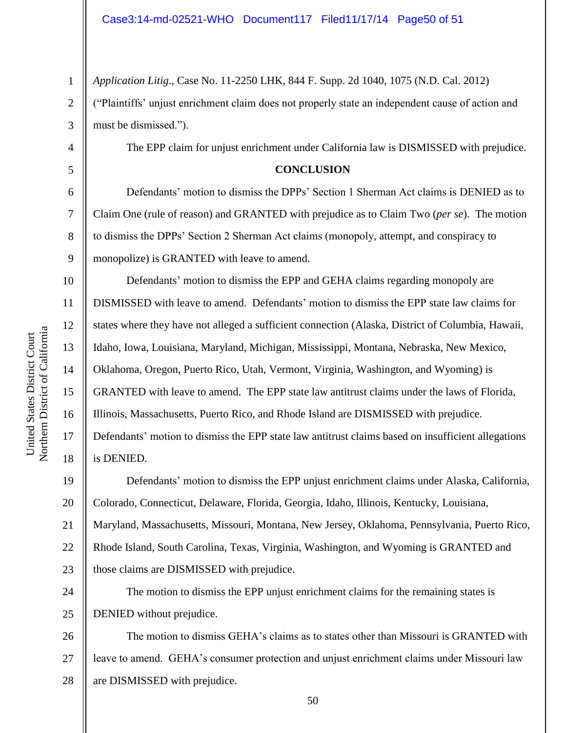1 2 3 *Application Litig*., Case No. 11-2250 LHK, 844 F. Supp. 2d 1040, 1075 (N.D. Cal. 2012) ("Plaintiffs' unjust enrichment claim does not properly state an independent cause of action and must be dismissed.").

The EPP claim for unjust enrichment under California law is DISMISSED with prejudice.

#### **CONCLUSION**

Defendants' motion to dismiss the DPPs' Section 1 Sherman Act claims is DENIED as to Claim One (rule of reason) and GRANTED with prejudice as to Claim Two (*per se*). The motion to dismiss the DPPs' Section 2 Sherman Act claims (monopoly, attempt, and conspiracy to monopolize) is GRANTED with leave to amend.

Defendants' motion to dismiss the EPP and GEHA claims regarding monopoly are DISMISSED with leave to amend. Defendants' motion to dismiss the EPP state law claims for states where they have not alleged a sufficient connection (Alaska, District of Columbia, Hawaii, Idaho, Iowa, Louisiana, Maryland, Michigan, Mississippi, Montana, Nebraska, New Mexico, Oklahoma, Oregon, Puerto Rico, Utah, Vermont, Virginia, Washington, and Wyoming) is GRANTED with leave to amend. The EPP state law antitrust claims under the laws of Florida, Illinois, Massachusetts, Puerto Rico, and Rhode Island are DISMISSED with prejudice. Defendants' motion to dismiss the EPP state law antitrust claims based on insufficient allegations is DENIED.

19 20 21 22 23 Defendants' motion to dismiss the EPP unjust enrichment claims under Alaska, California, Colorado, Connecticut, Delaware, Florida, Georgia, Idaho, Illinois, Kentucky, Louisiana, Maryland, Massachusetts, Missouri, Montana, New Jersey, Oklahoma, Pennsylvania, Puerto Rico, Rhode Island, South Carolina, Texas, Virginia, Washington, and Wyoming is GRANTED and those claims are DISMISSED with prejudice.

24 25 The motion to dismiss the EPP unjust enrichment claims for the remaining states is DENIED without prejudice.

26 27 28 The motion to dismiss GEHA's claims as to states other than Missouri is GRANTED with leave to amend. GEHA's consumer protection and unjust enrichment claims under Missouri law are DISMISSED with prejudice.

4

5

6

7

8

9

10

11

12

13

14

15

16

17